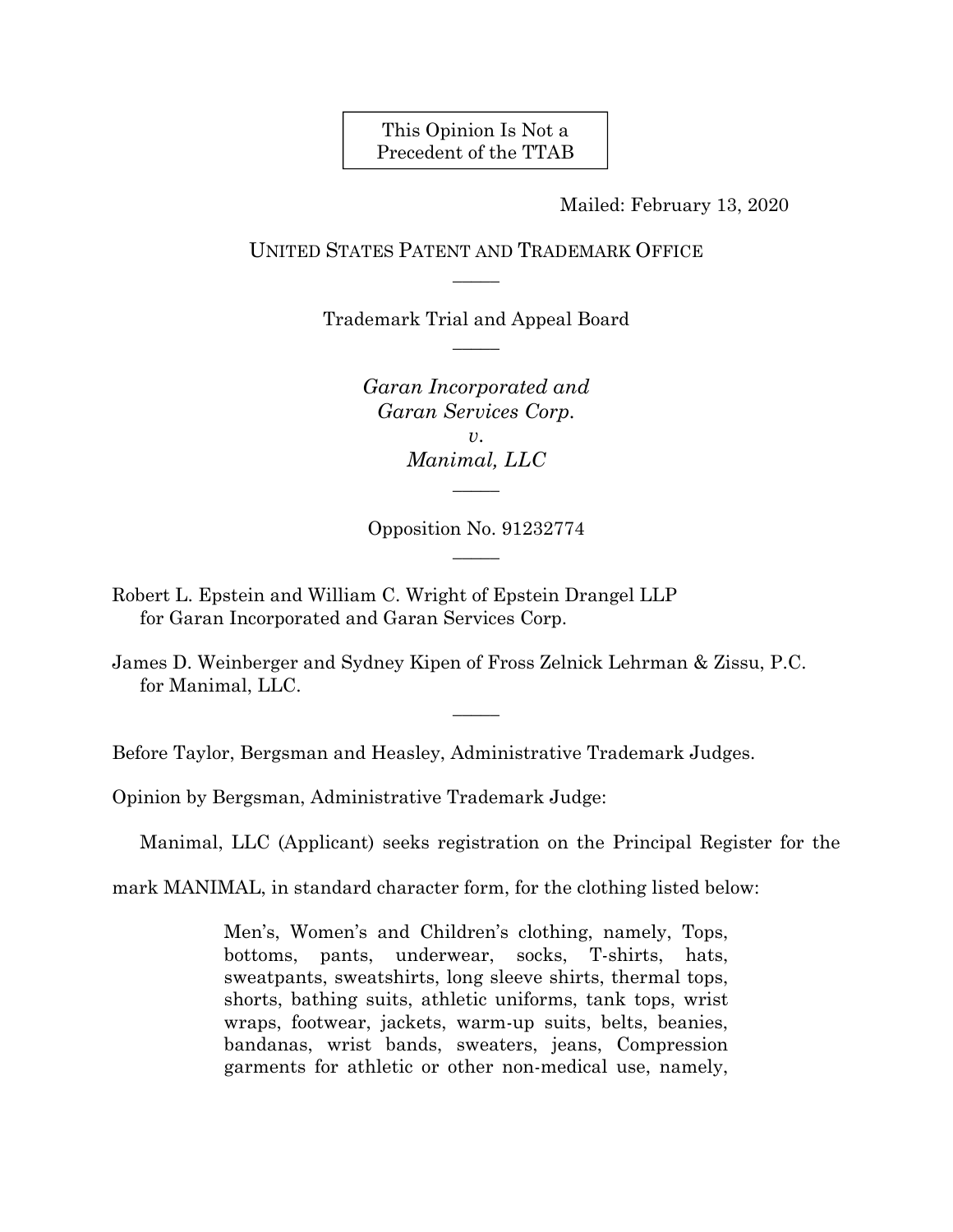This Opinion Is Not a Precedent of the TTAB

Mailed: February 13, 2020

# UNITED STATES PATENT AND TRADEMARK OFFICE  $\overline{\phantom{a}}$

Trademark Trial and Appeal Board  $\overline{\phantom{a}}$ 

> *Garan Incorporated and Garan Services Corp. v*. *Manimal, LLC*   $\overline{\phantom{a}}$

Opposition No. 91232774  $\overline{\phantom{a}}$ 

- Robert L. Epstein and William C. Wright of Epstein Drangel LLP for Garan Incorporated and Garan Services Corp.
- James D. Weinberger and Sydney Kipen of Fross Zelnick Lehrman & Zissu, P.C. for Manimal, LLC.

 $\overline{\phantom{a}}$ 

Before Taylor, Bergsman and Heasley, Administrative Trademark Judges.

Opinion by Bergsman, Administrative Trademark Judge:

Manimal, LLC (Applicant) seeks registration on the Principal Register for the

mark MANIMAL, in standard character form, for the clothing listed below:

Men's, Women's and Children's clothing, namely, Tops, bottoms, pants, underwear, socks, T-shirts, hats, sweatpants, sweatshirts, long sleeve shirts, thermal tops, shorts, bathing suits, athletic uniforms, tank tops, wrist wraps, footwear, jackets, warm-up suits, belts, beanies, bandanas, wrist bands, sweaters, jeans, Compression garments for athletic or other non-medical use, namely,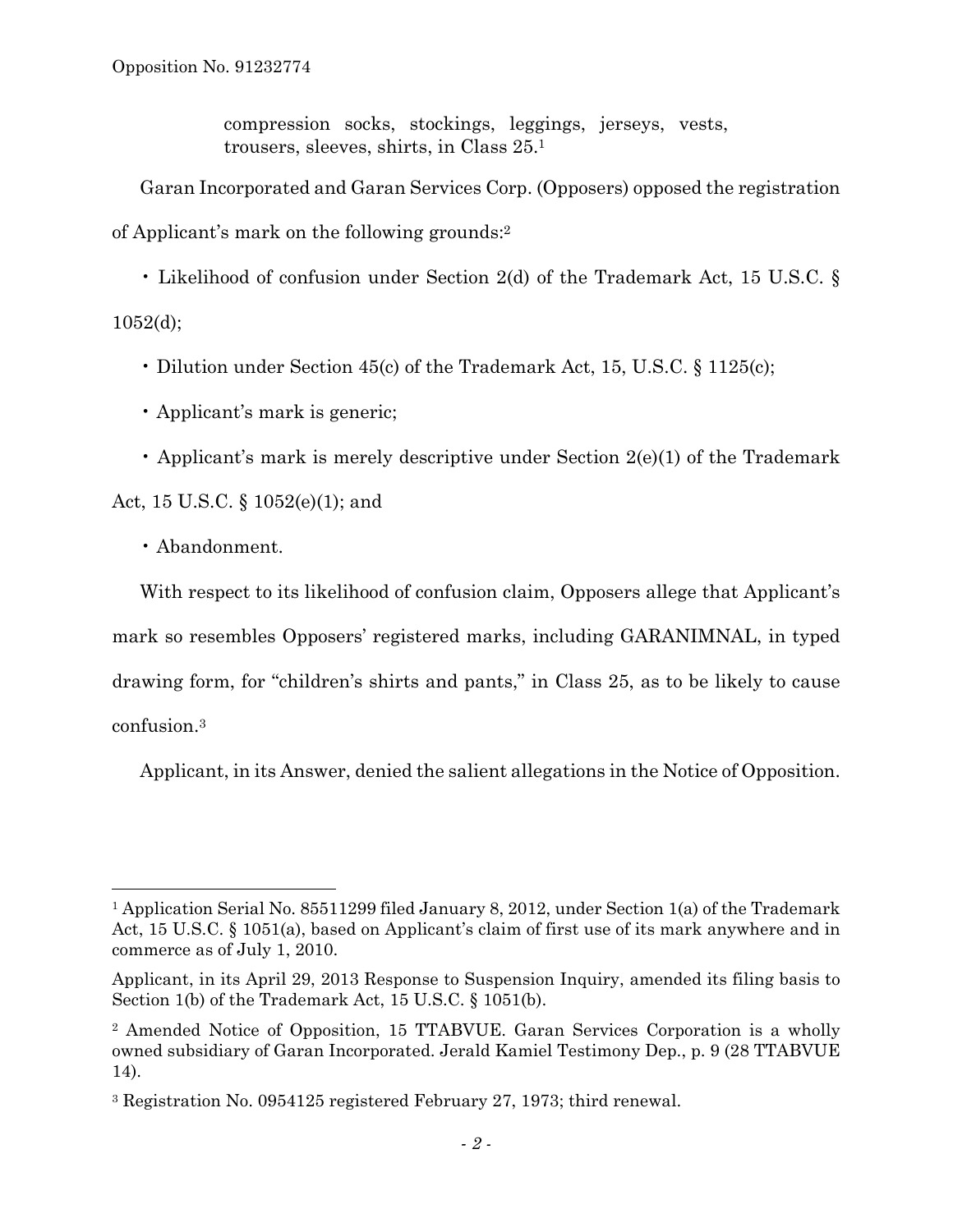compression socks, stockings, leggings, jerseys, vests, trousers, sleeves, shirts, in Class 25.1

Garan Incorporated and Garan Services Corp. (Opposers) opposed the registration of Applicant's mark on the following grounds:2

• Likelihood of confusion under Section 2(d) of the Trademark Act, 15 U.S.C. §  $1052(d);$ 

- Dilution under Section 45(c) of the Trademark Act, 15, U.S.C. § 1125(c);
- Applicant's mark is generic;
- Applicant's mark is merely descriptive under Section 2(e)(1) of the Trademark

Act, 15 U.S.C. § 1052(e)(1); and

• Abandonment.

 $\overline{a}$ 

With respect to its likelihood of confusion claim, Opposers allege that Applicant's mark so resembles Opposers' registered marks, including GARANIMNAL, in typed drawing form, for "children's shirts and pants," in Class 25, as to be likely to cause confusion.3

Applicant, in its Answer, denied the salient allegations in the Notice of Opposition.

<sup>1</sup> Application Serial No. 85511299 filed January 8, 2012, under Section 1(a) of the Trademark Act, 15 U.S.C. § 1051(a), based on Applicant's claim of first use of its mark anywhere and in commerce as of July 1, 2010.

Applicant, in its April 29, 2013 Response to Suspension Inquiry, amended its filing basis to Section 1(b) of the Trademark Act, 15 U.S.C. § 1051(b).

<sup>2</sup> Amended Notice of Opposition, 15 TTABVUE. Garan Services Corporation is a wholly owned subsidiary of Garan Incorporated. Jerald Kamiel Testimony Dep., p. 9 (28 TTABVUE 14).

<sup>3</sup> Registration No. 0954125 registered February 27, 1973; third renewal.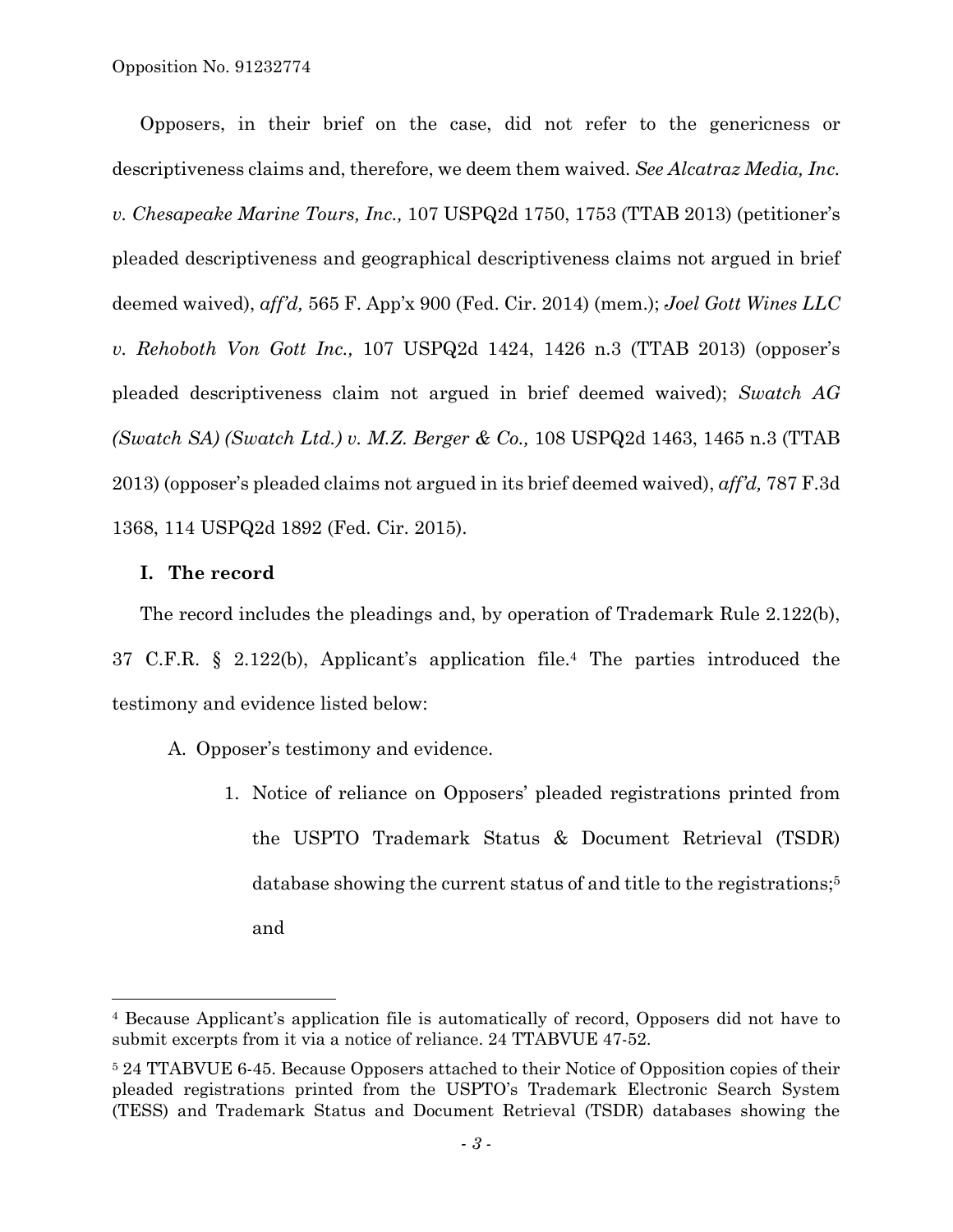Opposition No. 91232774

Opposers, in their brief on the case, did not refer to the genericness or descriptiveness claims and, therefore, we deem them waived. *See Alcatraz Media, Inc. v. Chesapeake Marine Tours, Inc.,* 107 USPQ2d 1750, 1753 (TTAB 2013) (petitioner's pleaded descriptiveness and geographical descriptiveness claims not argued in brief deemed waived), *aff'd,* 565 F. App'x 900 (Fed. Cir. 2014) (mem.); *Joel Gott Wines LLC v. Rehoboth Von Gott Inc.,* 107 USPQ2d 1424, 1426 n.3 (TTAB 2013) (opposer's pleaded descriptiveness claim not argued in brief deemed waived); *Swatch AG (Swatch SA) (Swatch Ltd.) v. M.Z. Berger & Co.,* 108 USPQ2d 1463, 1465 n.3 (TTAB 2013) (opposer's pleaded claims not argued in its brief deemed waived), *aff'd,* 787 F.3d 1368, 114 USPQ2d 1892 (Fed. Cir. 2015).

### **I. The record**

1

The record includes the pleadings and, by operation of Trademark Rule 2.122(b), 37 C.F.R. § 2.122(b), Applicant's application file.4 The parties introduced the testimony and evidence listed below:

- A. Opposer's testimony and evidence.
	- 1. Notice of reliance on Opposers' pleaded registrations printed from the USPTO Trademark Status & Document Retrieval (TSDR) database showing the current status of and title to the registrations;<sup>5</sup> and

<sup>4</sup> Because Applicant's application file is automatically of record, Opposers did not have to submit excerpts from it via a notice of reliance. 24 TTABVUE 47-52.

<sup>5 24</sup> TTABVUE 6-45. Because Opposers attached to their Notice of Opposition copies of their pleaded registrations printed from the USPTO's Trademark Electronic Search System (TESS) and Trademark Status and Document Retrieval (TSDR) databases showing the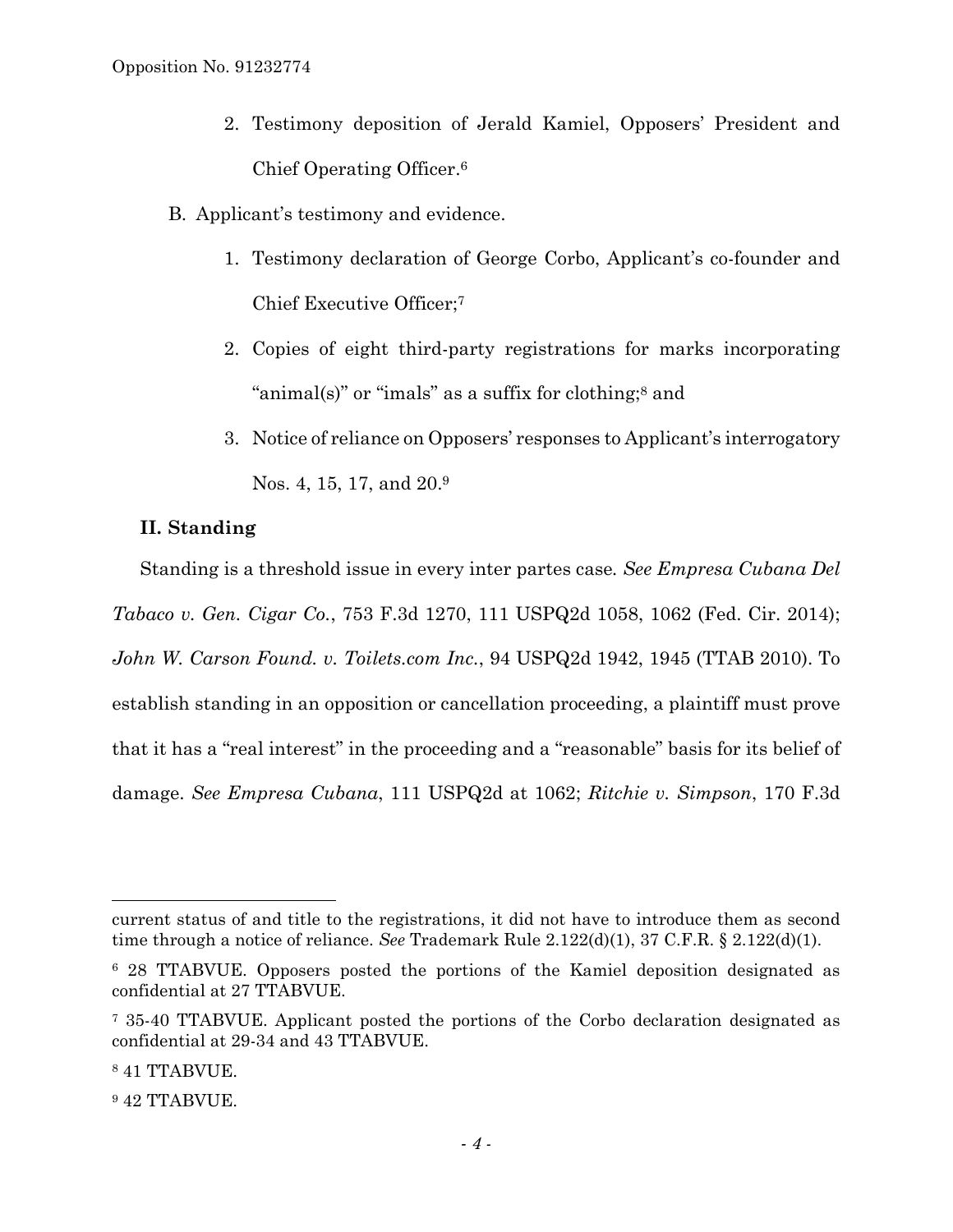- 2. Testimony deposition of Jerald Kamiel, Opposers' President and Chief Operating Officer.6
- B. Applicant's testimony and evidence.
	- 1. Testimony declaration of George Corbo, Applicant's co-founder and Chief Executive Officer;7
	- 2. Copies of eight third-party registrations for marks incorporating "animal(s)" or "imals" as a suffix for clothing;8 and
	- 3. Notice of reliance on Opposers' responses to Applicant's interrogatory Nos. 4, 15, 17, and 20.9

# **II. Standing**

Standing is a threshold issue in every inter partes case*. See Empresa Cubana Del Tabaco v. Gen. Cigar Co.*, 753 F.3d 1270, 111 USPQ2d 1058, 1062 (Fed. Cir. 2014); *John W. Carson Found. v. Toilets.com Inc.*, 94 USPQ2d 1942, 1945 (TTAB 2010). To establish standing in an opposition or cancellation proceeding, a plaintiff must prove that it has a "real interest" in the proceeding and a "reasonable" basis for its belief of damage. *See Empresa Cubana*, 111 USPQ2d at 1062; *Ritchie v. Simpson*, 170 F.3d

1

<sup>9</sup> 42 TTABVUE.

current status of and title to the registrations, it did not have to introduce them as second time through a notice of reliance. *See* Trademark Rule 2.122(d)(1), 37 C.F.R. § 2.122(d)(1).

<sup>6 28</sup> TTABVUE. Opposers posted the portions of the Kamiel deposition designated as confidential at 27 TTABVUE.

<sup>7 35-40</sup> TTABVUE. Applicant posted the portions of the Corbo declaration designated as confidential at 29-34 and 43 TTABVUE.

<sup>8 41</sup> TTABVUE.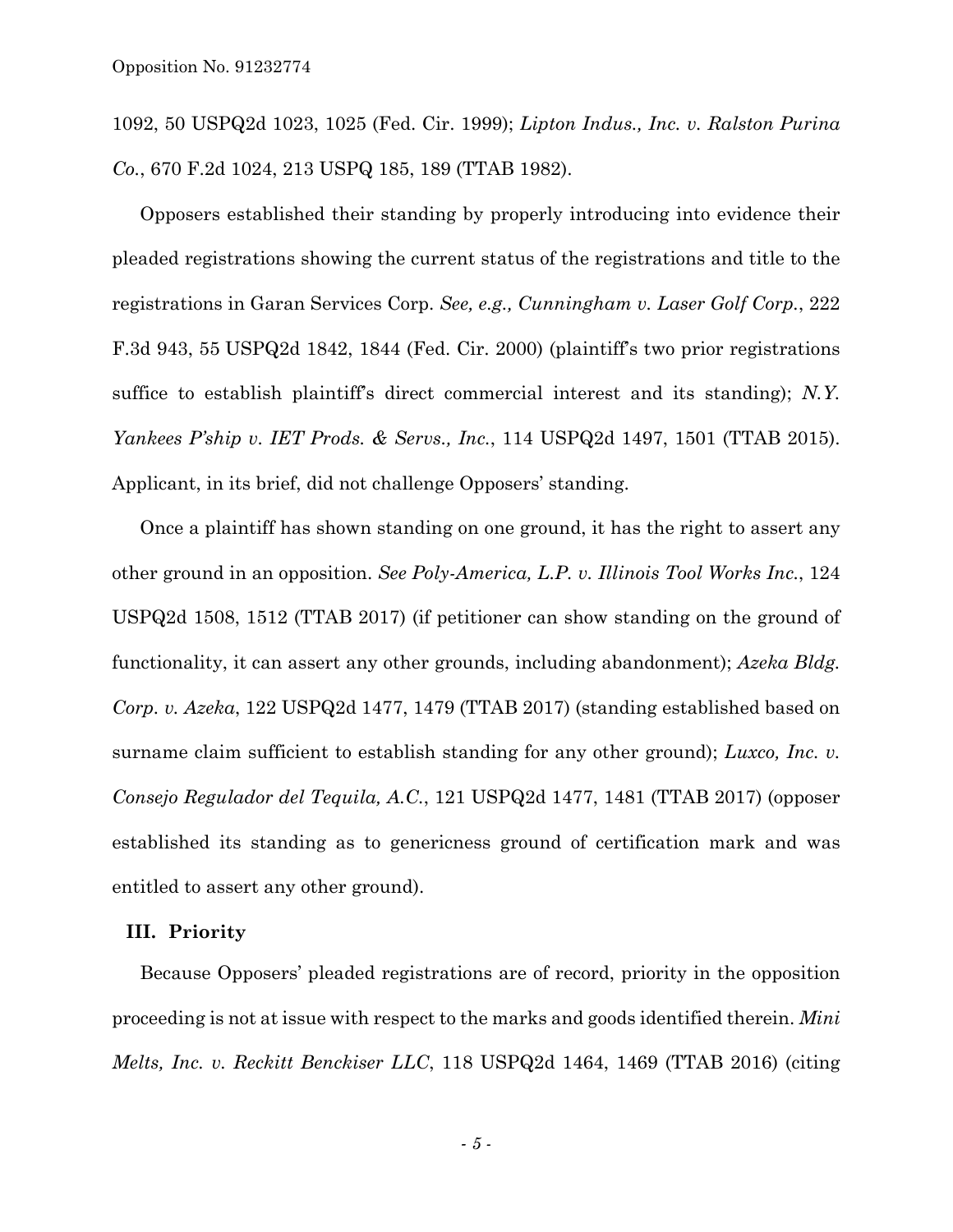1092, 50 USPQ2d 1023, 1025 (Fed. Cir. 1999); *Lipton Indus., Inc. v. Ralston Purina Co.*, 670 F.2d 1024, 213 USPQ 185, 189 (TTAB 1982).

Opposers established their standing by properly introducing into evidence their pleaded registrations showing the current status of the registrations and title to the registrations in Garan Services Corp. *See, e.g., Cunningham v. Laser Golf Corp.*, 222 F.3d 943, 55 USPQ2d 1842, 1844 (Fed. Cir. 2000) (plaintiff's two prior registrations suffice to establish plaintiff's direct commercial interest and its standing); *N.Y. Yankees P'ship v. IET Prods. & Servs., Inc.*, 114 USPQ2d 1497, 1501 (TTAB 2015). Applicant, in its brief, did not challenge Opposers' standing.

Once a plaintiff has shown standing on one ground, it has the right to assert any other ground in an opposition. *See Poly-America, L.P. v. Illinois Tool Works Inc.*, 124 USPQ2d 1508, 1512 (TTAB 2017) (if petitioner can show standing on the ground of functionality, it can assert any other grounds, including abandonment); *Azeka Bldg. Corp. v. Azeka*, 122 USPQ2d 1477, 1479 (TTAB 2017) (standing established based on surname claim sufficient to establish standing for any other ground); *Luxco, Inc. v. Consejo Regulador del Tequila, A.C.*, 121 USPQ2d 1477, 1481 (TTAB 2017) (opposer established its standing as to genericness ground of certification mark and was entitled to assert any other ground).

### **III. Priority**

Because Opposers' pleaded registrations are of record, priority in the opposition proceeding is not at issue with respect to the marks and goods identified therein. *Mini Melts, Inc. v. Reckitt Benckiser LLC*, 118 USPQ2d 1464, 1469 (TTAB 2016) (citing

*- 5 -*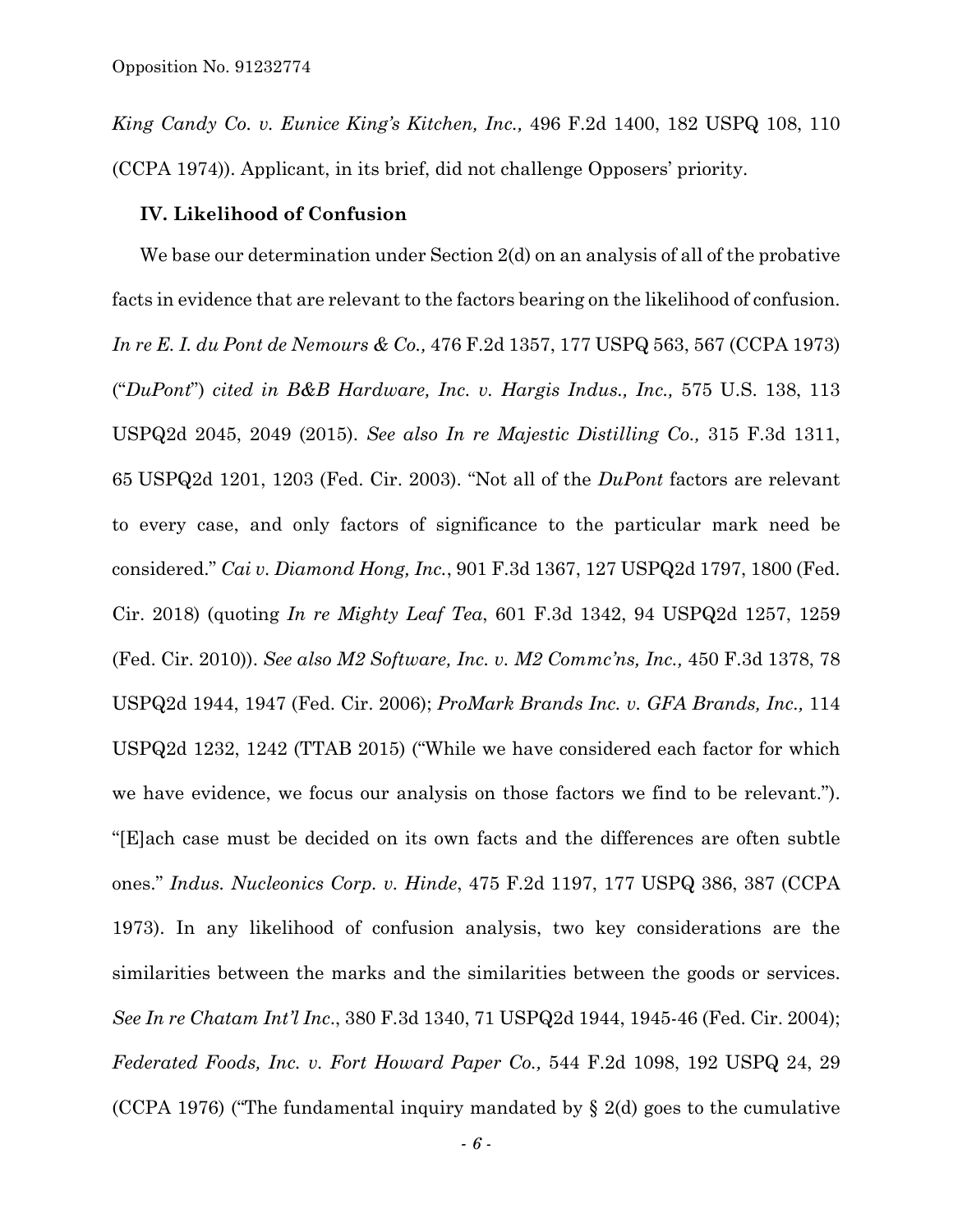*King Candy Co. v. Eunice King's Kitchen, Inc.,* 496 F.2d 1400, 182 USPQ 108, 110 (CCPA 1974)). Applicant, in its brief, did not challenge Opposers' priority.

### **IV. Likelihood of Confusion**

We base our determination under Section 2(d) on an analysis of all of the probative facts in evidence that are relevant to the factors bearing on the likelihood of confusion. *In re E. I. du Pont de Nemours & Co.,* 476 F.2d 1357, 177 USPQ 563, 567 (CCPA 1973) ("*DuPont*") *cited in B&B Hardware, Inc. v. Hargis Indus., Inc.,* 575 U.S. 138, 113 USPQ2d 2045, 2049 (2015). *See also In re Majestic Distilling Co.,* 315 F.3d 1311, 65 USPQ2d 1201, 1203 (Fed. Cir. 2003). "Not all of the *DuPont* factors are relevant to every case, and only factors of significance to the particular mark need be considered." *Cai v. Diamond Hong, Inc.*, 901 F.3d 1367, 127 USPQ2d 1797, 1800 (Fed. Cir. 2018) (quoting *In re Mighty Leaf Tea*, 601 F.3d 1342, 94 USPQ2d 1257, 1259 (Fed. Cir. 2010)). *See also M2 Software, Inc. v. M2 Commc'ns, Inc.,* 450 F.3d 1378, 78 USPQ2d 1944, 1947 (Fed. Cir. 2006); *ProMark Brands Inc. v. GFA Brands, Inc.,* 114 USPQ2d 1232, 1242 (TTAB 2015) ("While we have considered each factor for which we have evidence, we focus our analysis on those factors we find to be relevant."). "[E]ach case must be decided on its own facts and the differences are often subtle ones." *Indus. Nucleonics Corp. v. Hinde*, 475 F.2d 1197, 177 USPQ 386, 387 (CCPA 1973). In any likelihood of confusion analysis, two key considerations are the similarities between the marks and the similarities between the goods or services. *See In re Chatam Int'l Inc*., 380 F.3d 1340, 71 USPQ2d 1944, 1945-46 (Fed. Cir. 2004); *Federated Foods, Inc. v. Fort Howard Paper Co.,* 544 F.2d 1098, 192 USPQ 24, 29 (CCPA 1976) ("The fundamental inquiry mandated by § 2(d) goes to the cumulative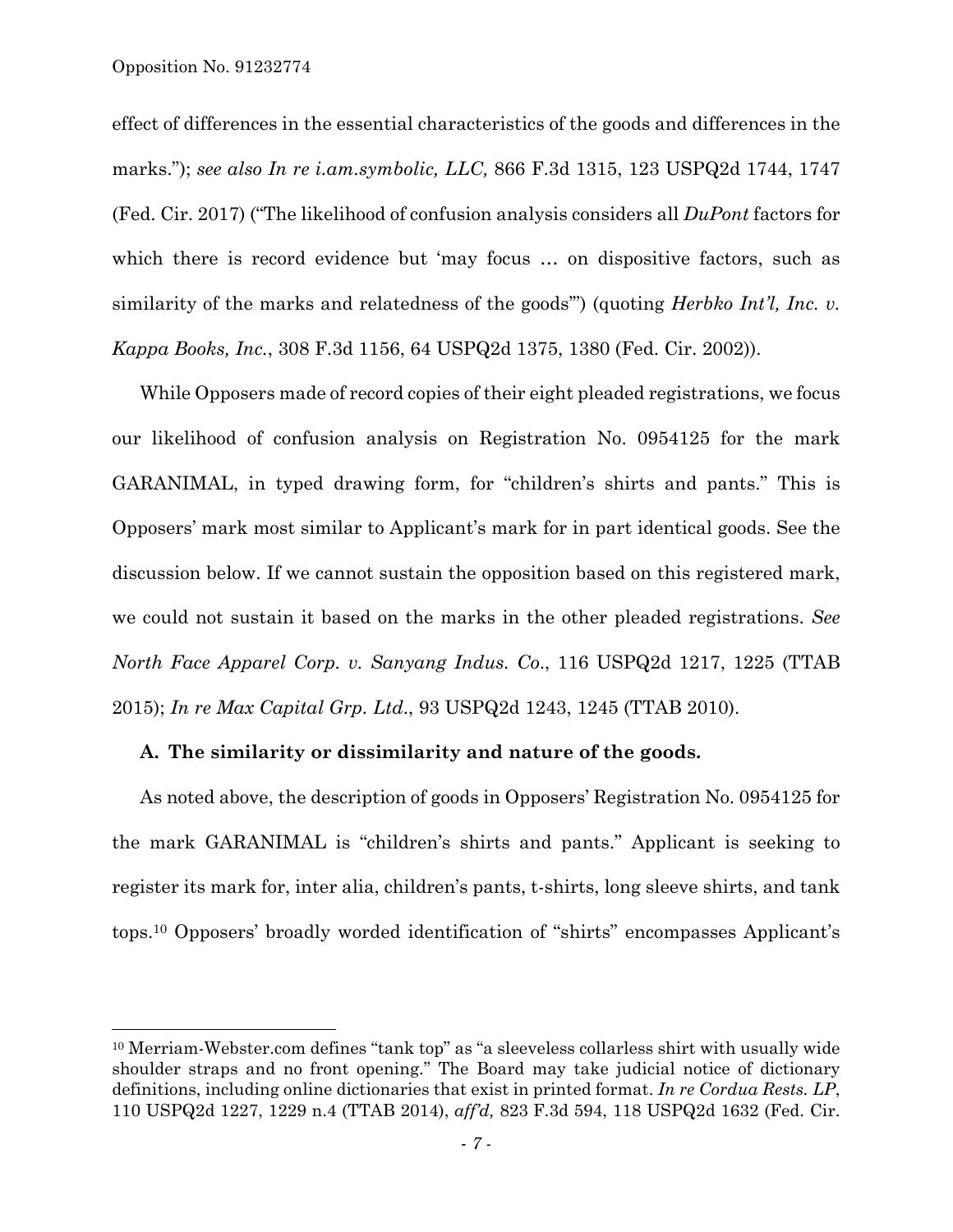$\overline{a}$ 

effect of differences in the essential characteristics of the goods and differences in the marks."); *see also In re i.am.symbolic, LLC,* 866 F.3d 1315, 123 USPQ2d 1744, 1747 (Fed. Cir. 2017) ("The likelihood of confusion analysis considers all *DuPont* factors for which there is record evidence but 'may focus ... on dispositive factors, such as similarity of the marks and relatedness of the goods'") (quoting *Herbko Int'l, Inc. v. Kappa Books, Inc.*, 308 F.3d 1156, 64 USPQ2d 1375, 1380 (Fed. Cir. 2002)).

While Opposers made of record copies of their eight pleaded registrations, we focus our likelihood of confusion analysis on Registration No. 0954125 for the mark GARANIMAL, in typed drawing form, for "children's shirts and pants." This is Opposers' mark most similar to Applicant's mark for in part identical goods. See the discussion below. If we cannot sustain the opposition based on this registered mark, we could not sustain it based on the marks in the other pleaded registrations. *See North Face Apparel Corp. v. Sanyang Indus. Co*., 116 USPQ2d 1217, 1225 (TTAB 2015); *In re Max Capital Grp. Ltd*., 93 USPQ2d 1243, 1245 (TTAB 2010).

### **A. The similarity or dissimilarity and nature of the goods.**

As noted above, the description of goods in Opposers' Registration No. 0954125 for the mark GARANIMAL is "children's shirts and pants." Applicant is seeking to register its mark for, inter alia, children's pants, t-shirts, long sleeve shirts, and tank tops.10 Opposers' broadly worded identification of "shirts" encompasses Applicant's

<sup>10</sup> Merriam-Webster.com defines "tank top" as "a sleeveless collarless shirt with usually wide shoulder straps and no front opening." The Board may take judicial notice of dictionary definitions, including online dictionaries that exist in printed format. *In re Cordua Rests. LP*, 110 USPQ2d 1227, 1229 n.4 (TTAB 2014), *aff'd,* 823 F.3d 594, 118 USPQ2d 1632 (Fed. Cir.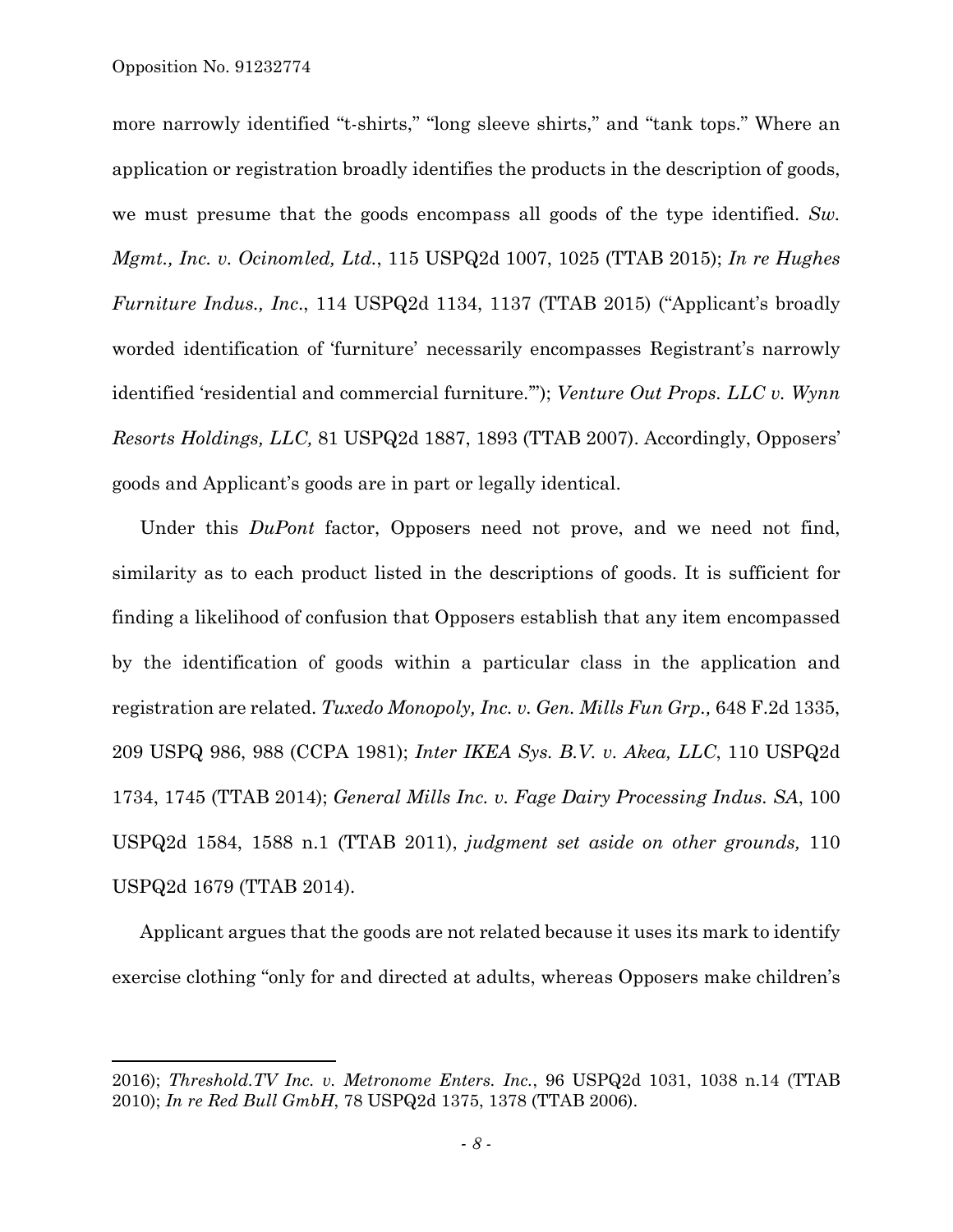1

more narrowly identified "t-shirts," "long sleeve shirts," and "tank tops." Where an application or registration broadly identifies the products in the description of goods, we must presume that the goods encompass all goods of the type identified. *Sw. Mgmt., Inc. v. Ocinomled, Ltd.*, 115 USPQ2d 1007, 1025 (TTAB 2015); *In re Hughes Furniture Indus., Inc*., 114 USPQ2d 1134, 1137 (TTAB 2015) ("Applicant's broadly worded identification of 'furniture' necessarily encompasses Registrant's narrowly identified 'residential and commercial furniture.'"); *Venture Out Props. LLC v. Wynn Resorts Holdings, LLC,* 81 USPQ2d 1887, 1893 (TTAB 2007). Accordingly, Opposers' goods and Applicant's goods are in part or legally identical.

Under this *DuPont* factor, Opposers need not prove, and we need not find, similarity as to each product listed in the descriptions of goods. It is sufficient for finding a likelihood of confusion that Opposers establish that any item encompassed by the identification of goods within a particular class in the application and registration are related. *Tuxedo Monopoly, Inc. v. Gen. Mills Fun Grp.,* 648 F.2d 1335, 209 USPQ 986, 988 (CCPA 1981); *Inter IKEA Sys. B.V. v. Akea, LLC*, 110 USPQ2d 1734, 1745 (TTAB 2014); *General Mills Inc. v. Fage Dairy Processing Indus. SA*, 100 USPQ2d 1584, 1588 n.1 (TTAB 2011), *judgment set aside on other grounds,* 110 USPQ2d 1679 (TTAB 2014).

Applicant argues that the goods are not related because it uses its mark to identify exercise clothing "only for and directed at adults, whereas Opposers make children's

<sup>2016);</sup> *Threshold.TV Inc. v. Metronome Enters. Inc.*, 96 USPQ2d 1031, 1038 n.14 (TTAB 2010); *In re Red Bull GmbH*, 78 USPQ2d 1375, 1378 (TTAB 2006).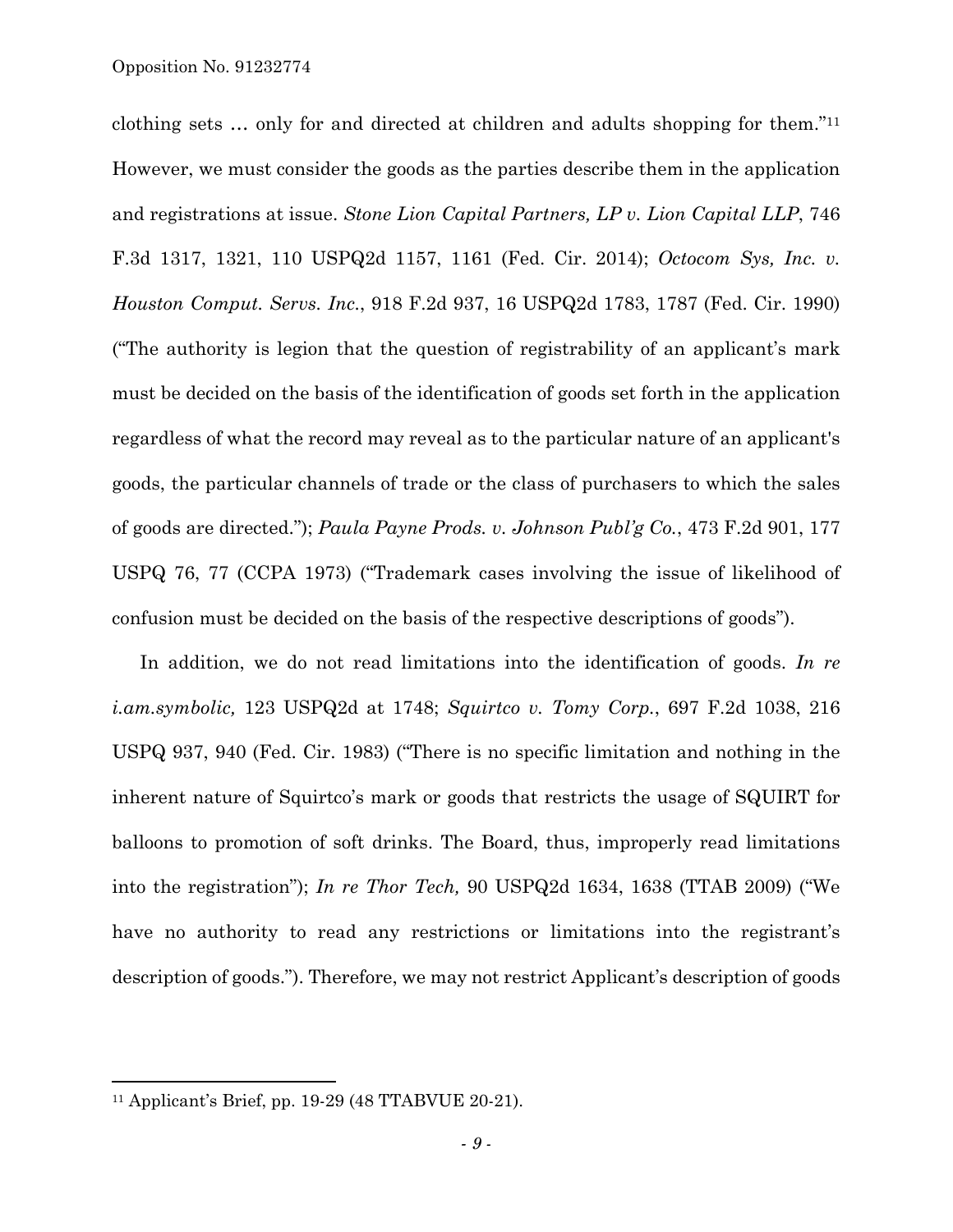clothing sets … only for and directed at children and adults shopping for them."11 However, we must consider the goods as the parties describe them in the application and registrations at issue. *Stone Lion Capital Partners, LP v. Lion Capital LLP*, 746 F.3d 1317, 1321, 110 USPQ2d 1157, 1161 (Fed. Cir. 2014); *Octocom Sys, Inc. v. Houston Comput. Servs. Inc.*, 918 F.2d 937, 16 USPQ2d 1783, 1787 (Fed. Cir. 1990) ("The authority is legion that the question of registrability of an applicant's mark must be decided on the basis of the identification of goods set forth in the application regardless of what the record may reveal as to the particular nature of an applicant's goods, the particular channels of trade or the class of purchasers to which the sales of goods are directed."); *Paula Payne Prods. v. Johnson Publ'g Co.*, 473 F.2d 901, 177 USPQ 76, 77 (CCPA 1973) ("Trademark cases involving the issue of likelihood of confusion must be decided on the basis of the respective descriptions of goods").

In addition, we do not read limitations into the identification of goods. *In re i.am.symbolic,* 123 USPQ2d at 1748; *Squirtco v. Tomy Corp.*, 697 F.2d 1038, 216 USPQ 937, 940 (Fed. Cir. 1983) ("There is no specific limitation and nothing in the inherent nature of Squirtco's mark or goods that restricts the usage of SQUIRT for balloons to promotion of soft drinks. The Board, thus, improperly read limitations into the registration"); *In re Thor Tech,* 90 USPQ2d 1634, 1638 (TTAB 2009) ("We have no authority to read any restrictions or limitations into the registrant's description of goods."). Therefore, we may not restrict Applicant's description of goods

 $\overline{a}$ 

<sup>11</sup> Applicant's Brief, pp. 19-29 (48 TTABVUE 20-21).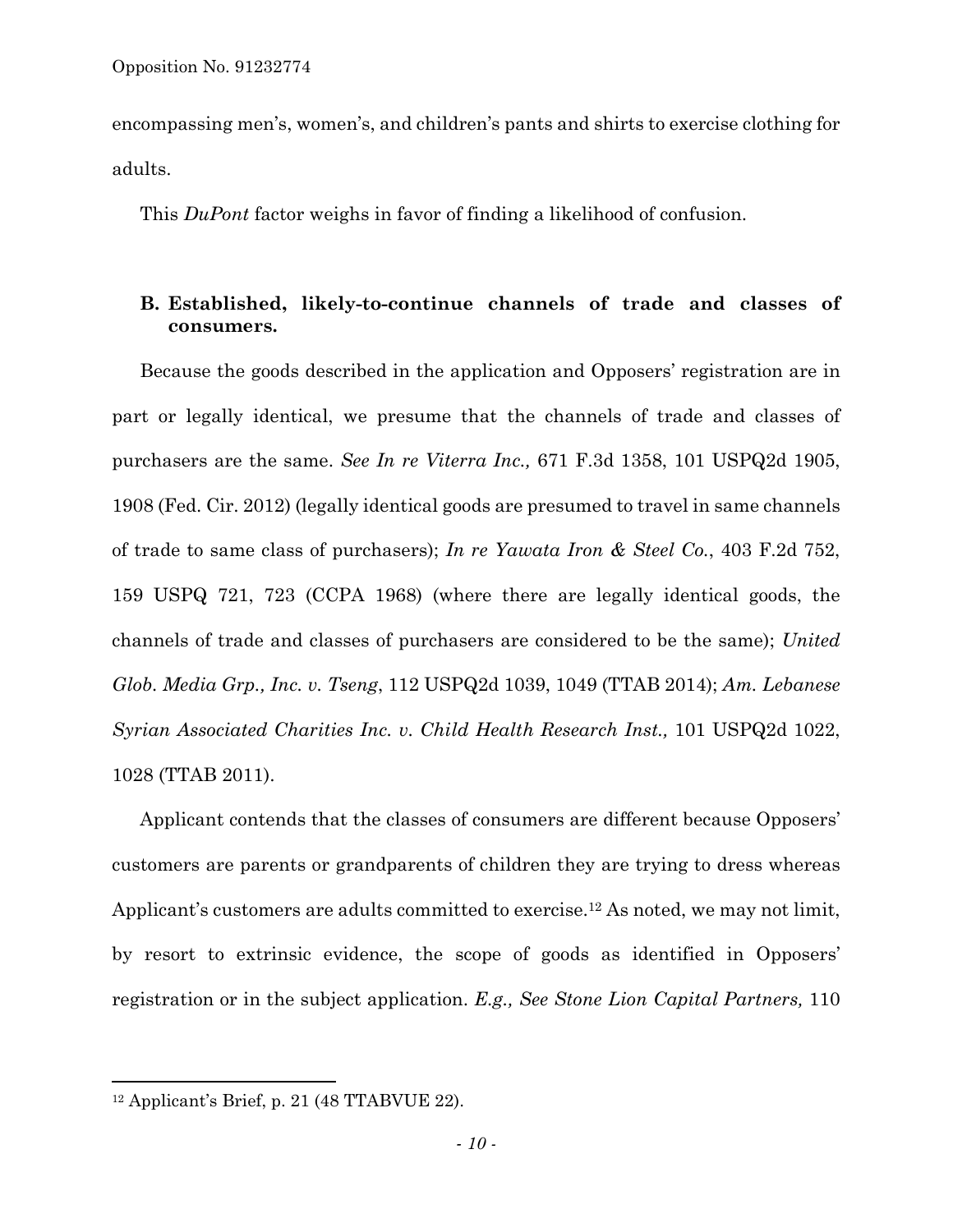encompassing men's, women's, and children's pants and shirts to exercise clothing for adults.

This *DuPont* factor weighs in favor of finding a likelihood of confusion.

### **B. Established, likely-to-continue channels of trade and classes of consumers.**

Because the goods described in the application and Opposers' registration are in part or legally identical, we presume that the channels of trade and classes of purchasers are the same. *See In re Viterra Inc.,* 671 F.3d 1358, 101 USPQ2d 1905, 1908 (Fed. Cir. 2012) (legally identical goods are presumed to travel in same channels of trade to same class of purchasers); *In re Yawata Iron & Steel Co.*, 403 F.2d 752, 159 USPQ 721, 723 (CCPA 1968) (where there are legally identical goods, the channels of trade and classes of purchasers are considered to be the same); *United Glob. Media Grp., Inc. v. Tseng*, 112 USPQ2d 1039, 1049 (TTAB 2014); *Am. Lebanese Syrian Associated Charities Inc. v. Child Health Research Inst.,* 101 USPQ2d 1022, 1028 (TTAB 2011).

Applicant contends that the classes of consumers are different because Opposers' customers are parents or grandparents of children they are trying to dress whereas Applicant's customers are adults committed to exercise.12 As noted, we may not limit, by resort to extrinsic evidence, the scope of goods as identified in Opposers' registration or in the subject application. *E.g., See Stone Lion Capital Partners,* 110

 $\overline{a}$ 

 $12$  Applicant's Brief, p. 21 (48 TTABVUE 22).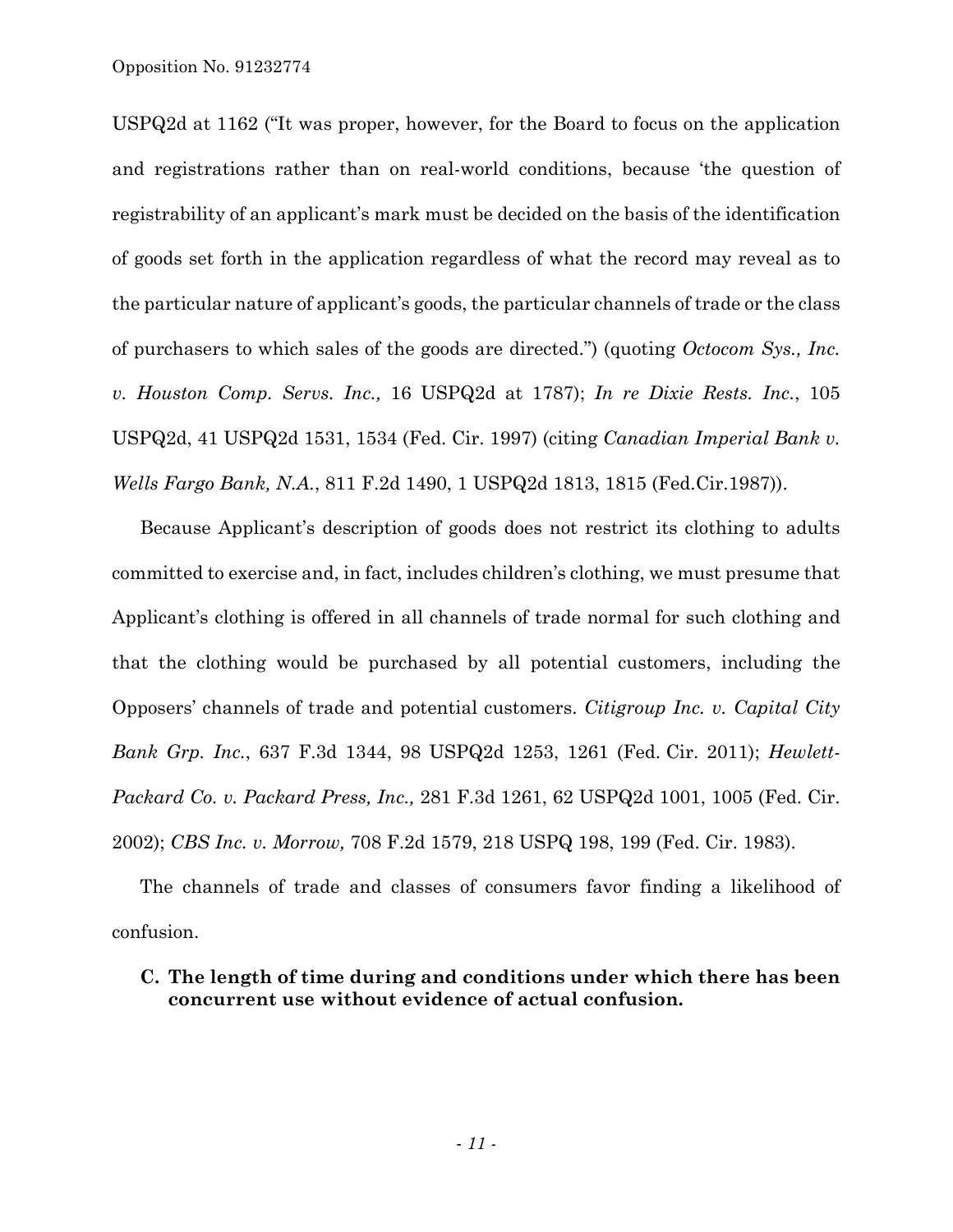USPQ2d at 1162 ("It was proper, however, for the Board to focus on the application and registrations rather than on real-world conditions, because 'the question of registrability of an applicant's mark must be decided on the basis of the identification of goods set forth in the application regardless of what the record may reveal as to the particular nature of applicant's goods, the particular channels of trade or the class of purchasers to which sales of the goods are directed.") (quoting *Octocom Sys., Inc. v. Houston Comp. Servs. Inc.,* 16 USPQ2d at 1787); *In re Dixie Rests. Inc.*, 105 USPQ2d, 41 USPQ2d 1531, 1534 (Fed. Cir. 1997) (citing *Canadian Imperial Bank v. Wells Fargo Bank, N.A.*, 811 F.2d 1490, 1 USPQ2d 1813, 1815 (Fed.Cir.1987)).

Because Applicant's description of goods does not restrict its clothing to adults committed to exercise and, in fact, includes children's clothing, we must presume that Applicant's clothing is offered in all channels of trade normal for such clothing and that the clothing would be purchased by all potential customers, including the Opposers' channels of trade and potential customers. *Citigroup Inc. v. Capital City Bank Grp. Inc.*, 637 F.3d 1344, 98 USPQ2d 1253, 1261 (Fed. Cir. 2011); *Hewlett-Packard Co. v. Packard Press, Inc.,* 281 F.3d 1261, 62 USPQ2d 1001, 1005 (Fed. Cir. 2002); *CBS Inc. v. Morrow,* 708 F.2d 1579, 218 USPQ 198, 199 (Fed. Cir. 1983).

The channels of trade and classes of consumers favor finding a likelihood of confusion.

## **C. The length of time during and conditions under which there has been concurrent use without evidence of actual confusion.**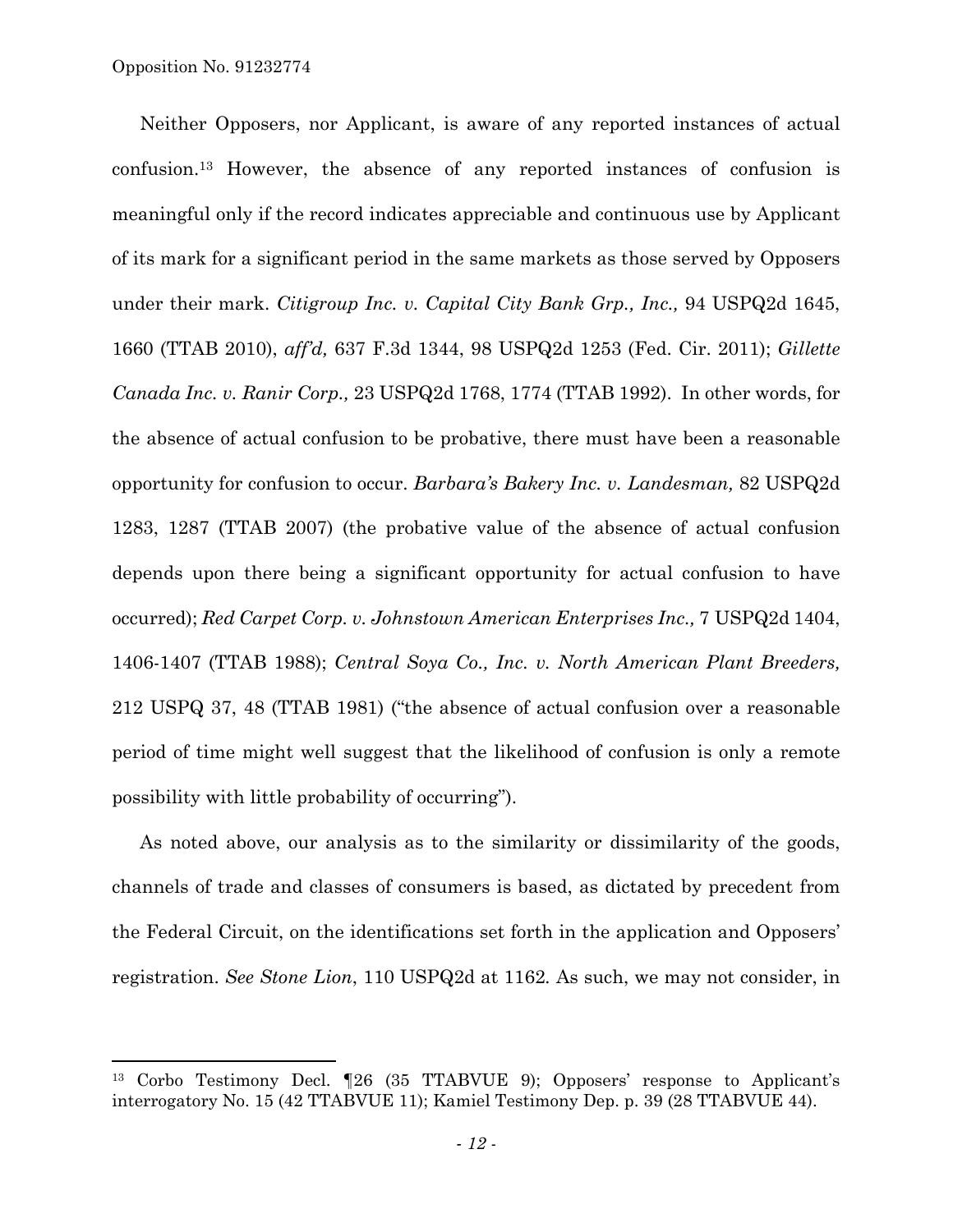1

Neither Opposers, nor Applicant, is aware of any reported instances of actual confusion.13 However, the absence of any reported instances of confusion is meaningful only if the record indicates appreciable and continuous use by Applicant of its mark for a significant period in the same markets as those served by Opposers under their mark. *Citigroup Inc. v. Capital City Bank Grp., Inc.,* 94 USPQ2d 1645, 1660 (TTAB 2010), *aff'd,* 637 F.3d 1344, 98 USPQ2d 1253 (Fed. Cir. 2011); *Gillette Canada Inc. v. Ranir Corp.,* 23 USPQ2d 1768, 1774 (TTAB 1992). In other words, for the absence of actual confusion to be probative, there must have been a reasonable opportunity for confusion to occur. *Barbara's Bakery Inc. v. Landesman,* 82 USPQ2d 1283, 1287 (TTAB 2007) (the probative value of the absence of actual confusion depends upon there being a significant opportunity for actual confusion to have occurred); *Red Carpet Corp. v. Johnstown American Enterprises Inc.,* 7 USPQ2d 1404, 1406-1407 (TTAB 1988); *Central Soya Co., Inc. v. North American Plant Breeders,*  212 USPQ 37, 48 (TTAB 1981) ("the absence of actual confusion over a reasonable period of time might well suggest that the likelihood of confusion is only a remote possibility with little probability of occurring").

As noted above, our analysis as to the similarity or dissimilarity of the goods, channels of trade and classes of consumers is based, as dictated by precedent from the Federal Circuit, on the identifications set forth in the application and Opposers' registration. *See Stone Lion*, 110 USPQ2d at 1162*.* As such, we may not consider, in

<sup>13</sup> Corbo Testimony Decl. ¶26 (35 TTABVUE 9); Opposers' response to Applicant's interrogatory No. 15 (42 TTABVUE 11); Kamiel Testimony Dep. p. 39 (28 TTABVUE 44).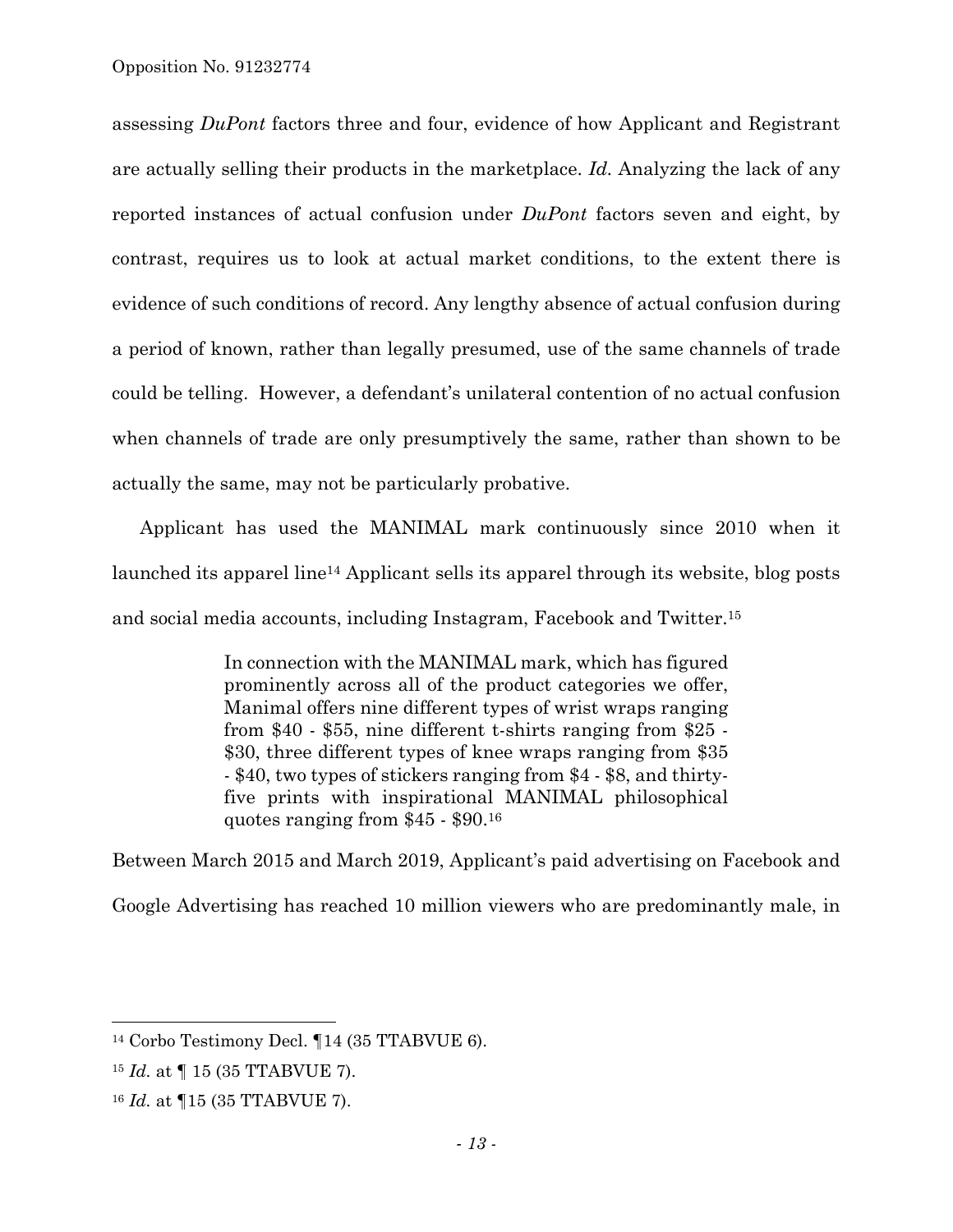assessing *DuPont* factors three and four, evidence of how Applicant and Registrant are actually selling their products in the marketplace. *Id.* Analyzing the lack of any reported instances of actual confusion under *DuPont* factors seven and eight, by contrast, requires us to look at actual market conditions, to the extent there is evidence of such conditions of record. Any lengthy absence of actual confusion during a period of known, rather than legally presumed, use of the same channels of trade could be telling. However, a defendant's unilateral contention of no actual confusion when channels of trade are only presumptively the same, rather than shown to be actually the same, may not be particularly probative.

Applicant has used the MANIMAL mark continuously since 2010 when it launched its apparel line14 Applicant sells its apparel through its website, blog posts and social media accounts, including Instagram, Facebook and Twitter.15

> In connection with the MANIMAL mark, which has figured prominently across all of the product categories we offer, Manimal offers nine different types of wrist wraps ranging from \$40 - \$55, nine different t-shirts ranging from \$25 - \$30, three different types of knee wraps ranging from \$35 - \$40, two types of stickers ranging from \$4 - \$8, and thirtyfive prints with inspirational MANIMAL philosophical quotes ranging from \$45 - \$90.16

Between March 2015 and March 2019, Applicant's paid advertising on Facebook and Google Advertising has reached 10 million viewers who are predominantly male, in

l

<sup>14</sup> Corbo Testimony Decl. ¶14 (35 TTABVUE 6).

<sup>15</sup> *Id.* at ¶ 15 (35 TTABVUE 7).

<sup>16</sup> *Id.* at ¶15 (35 TTABVUE 7).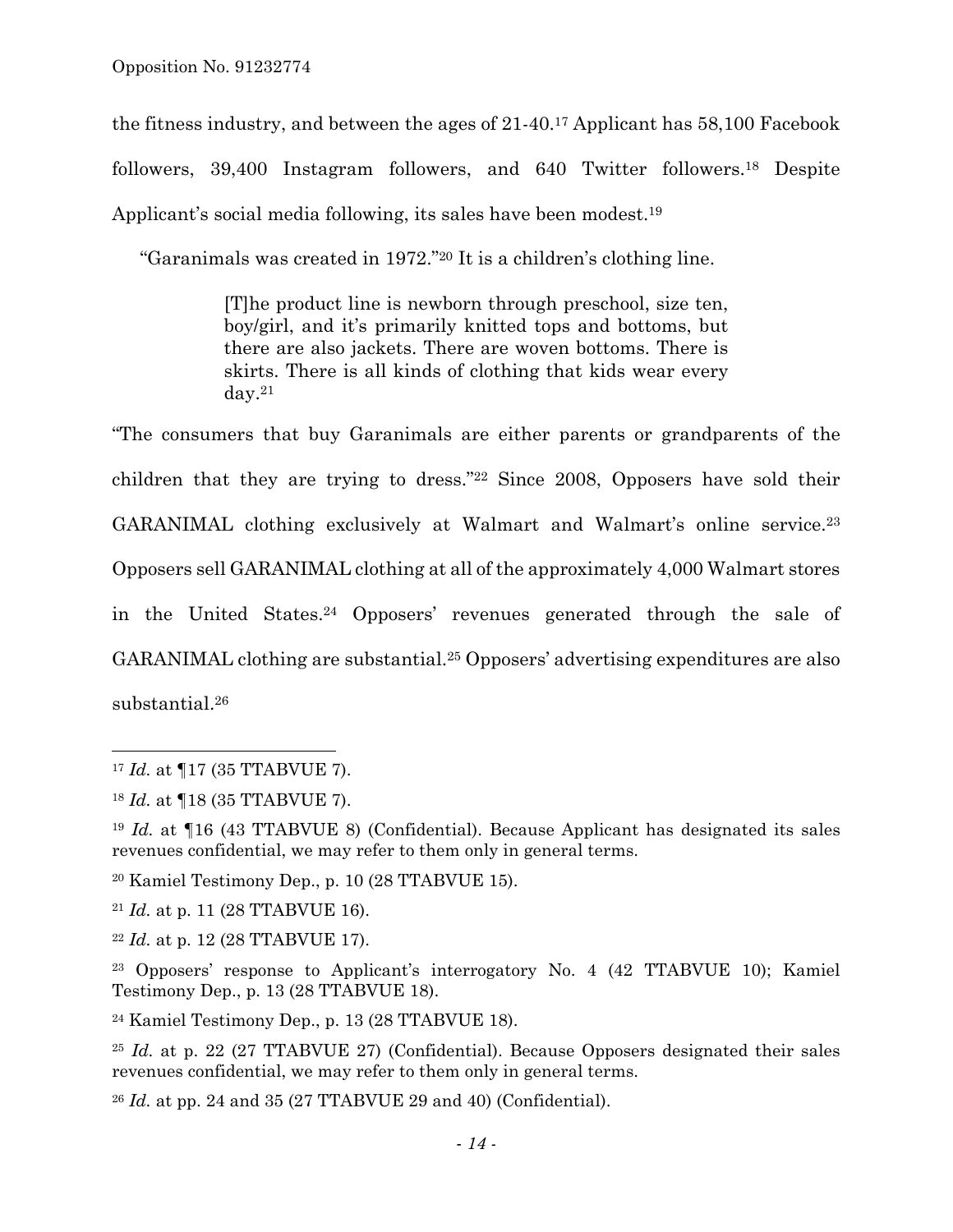the fitness industry, and between the ages of 21-40.17 Applicant has 58,100 Facebook followers, 39,400 Instagram followers, and 640 Twitter followers.18 Despite Applicant's social media following, its sales have been modest.<sup>19</sup>

"Garanimals was created in 1972."20 It is a children's clothing line.

[T]he product line is newborn through preschool, size ten, boy/girl, and it's primarily knitted tops and bottoms, but there are also jackets. There are woven bottoms. There is skirts. There is all kinds of clothing that kids wear every day.21

"The consumers that buy Garanimals are either parents or grandparents of the children that they are trying to dress."22 Since 2008, Opposers have sold their GARANIMAL clothing exclusively at Walmart and Walmart's online service.23 Opposers sell GARANIMAL clothing at all of the approximately 4,000 Walmart stores in the United States.24 Opposers' revenues generated through the sale of GARANIMAL clothing are substantial.25 Opposers' advertising expenditures are also substantial.26

1

20 Kamiel Testimony Dep., p. 10 (28 TTABVUE 15).

<sup>21</sup> *Id.* at p. 11 (28 TTABVUE 16).

<sup>22</sup> *Id.* at p. 12 (28 TTABVUE 17).

23 Opposers' response to Applicant's interrogatory No. 4 (42 TTABVUE 10); Kamiel Testimony Dep., p. 13 (28 TTABVUE 18).

24 Kamiel Testimony Dep., p. 13 (28 TTABVUE 18).

<sup>25</sup> *Id.* at p. 22 (27 TTABVUE 27) (Confidential). Because Opposers designated their sales revenues confidential, we may refer to them only in general terms.

<sup>26</sup> *Id.* at pp. 24 and 35 (27 TTABVUE 29 and 40) (Confidential).

<sup>17</sup> *Id.* at ¶17 (35 TTABVUE 7).

<sup>18</sup> *Id.* at ¶18 (35 TTABVUE 7).

<sup>19</sup> *Id.* at ¶16 (43 TTABVUE 8) (Confidential). Because Applicant has designated its sales revenues confidential, we may refer to them only in general terms.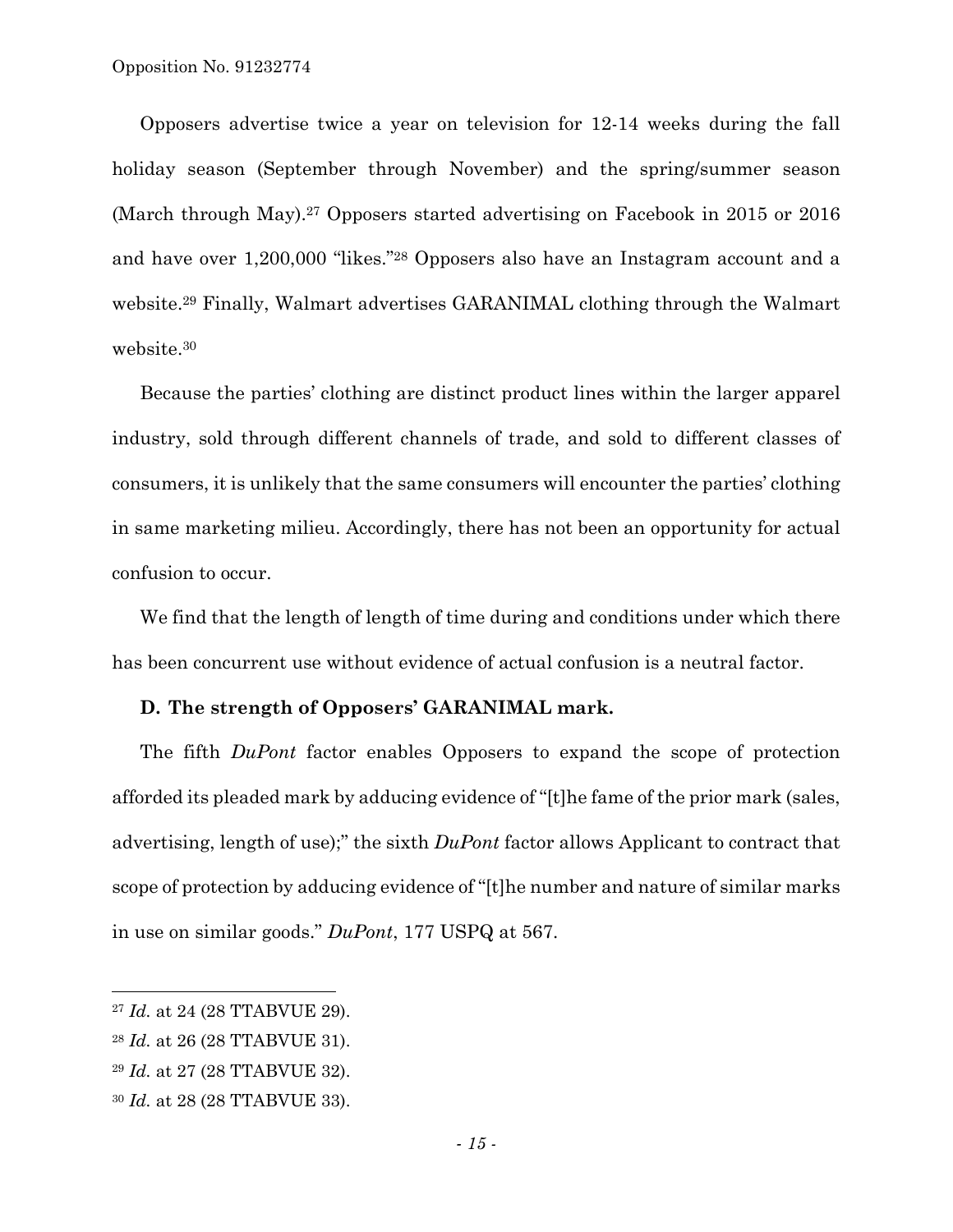Opposers advertise twice a year on television for 12-14 weeks during the fall holiday season (September through November) and the spring/summer season (March through May).27 Opposers started advertising on Facebook in 2015 or 2016 and have over 1,200,000 "likes."28 Opposers also have an Instagram account and a website.29 Finally, Walmart advertises GARANIMAL clothing through the Walmart website.30

Because the parties' clothing are distinct product lines within the larger apparel industry, sold through different channels of trade, and sold to different classes of consumers, it is unlikely that the same consumers will encounter the parties' clothing in same marketing milieu. Accordingly, there has not been an opportunity for actual confusion to occur.

We find that the length of length of time during and conditions under which there has been concurrent use without evidence of actual confusion is a neutral factor.

#### **D. The strength of Opposers' GARANIMAL mark.**

The fifth *DuPont* factor enables Opposers to expand the scope of protection afforded its pleaded mark by adducing evidence of "[t]he fame of the prior mark (sales, advertising, length of use);" the sixth *DuPont* factor allows Applicant to contract that scope of protection by adducing evidence of "[t]he number and nature of similar marks in use on similar goods." *DuPont*, 177 USPQ at 567.

 $\overline{a}$ 

<sup>27</sup> *Id.* at 24 (28 TTABVUE 29).

<sup>28</sup> *Id.* at 26 (28 TTABVUE 31).

<sup>29</sup> *Id.* at 27 (28 TTABVUE 32).

<sup>30</sup> *Id.* at 28 (28 TTABVUE 33).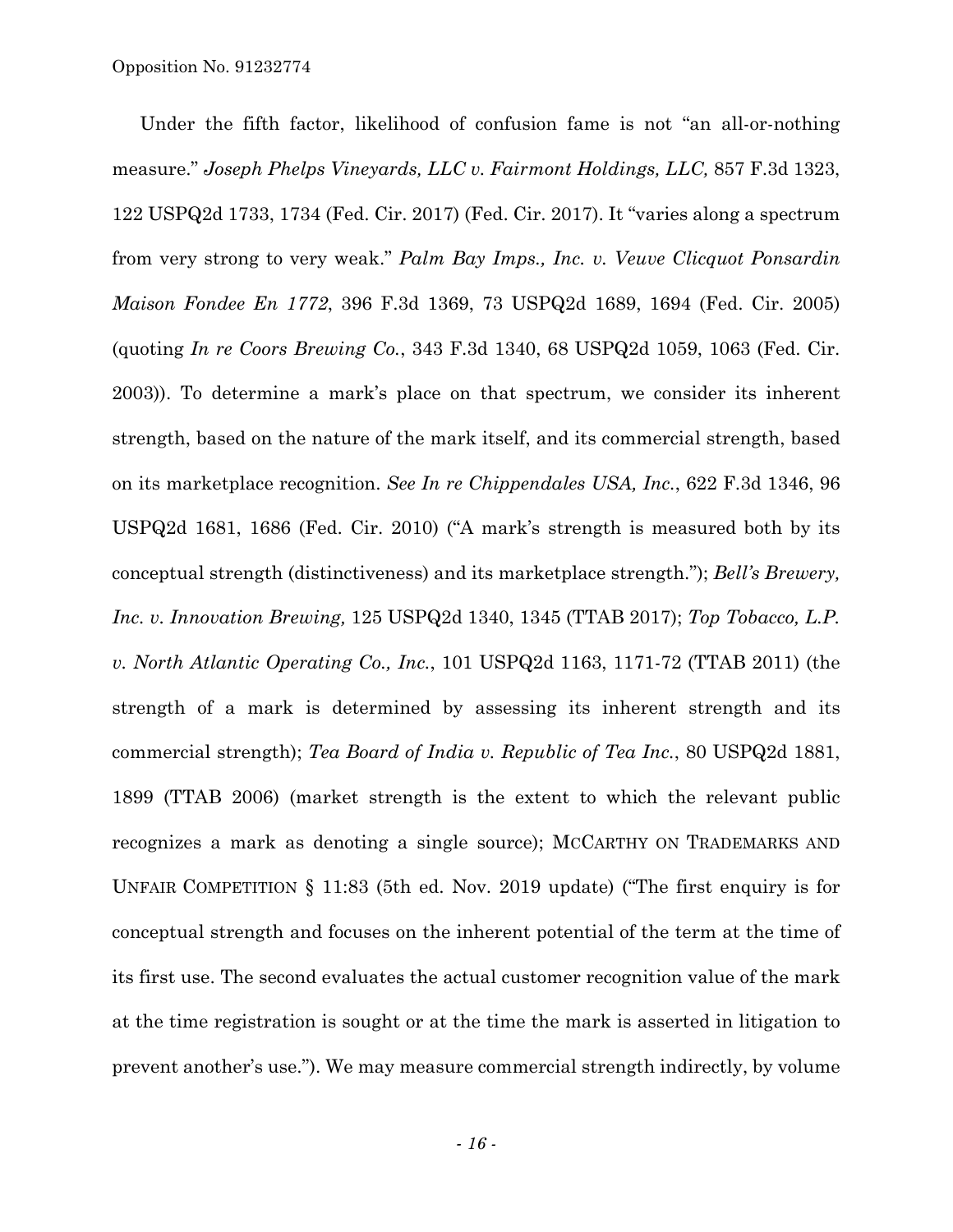Under the fifth factor, likelihood of confusion fame is not "an all-or-nothing measure." *Joseph Phelps Vineyards, LLC v. Fairmont Holdings, LLC,* 857 F.3d 1323, 122 USPQ2d 1733, 1734 (Fed. Cir. 2017) (Fed. Cir. 2017). It "varies along a spectrum from very strong to very weak." *Palm Bay Imps., Inc. v. Veuve Clicquot Ponsardin Maison Fondee En 1772*, 396 F.3d 1369, 73 USPQ2d 1689, 1694 (Fed. Cir. 2005) (quoting *In re Coors Brewing Co.*, 343 F.3d 1340, 68 USPQ2d 1059, 1063 (Fed. Cir. 2003)). To determine a mark's place on that spectrum, we consider its inherent strength, based on the nature of the mark itself, and its commercial strength, based on its marketplace recognition. *See In re Chippendales USA, Inc.*, 622 F.3d 1346, 96 USPQ2d 1681, 1686 (Fed. Cir. 2010) ("A mark's strength is measured both by its conceptual strength (distinctiveness) and its marketplace strength."); *Bell's Brewery, Inc. v. Innovation Brewing,* 125 USPQ2d 1340, 1345 (TTAB 2017); *Top Tobacco, L.P. v. North Atlantic Operating Co., Inc.*, 101 USPQ2d 1163, 1171-72 (TTAB 2011) (the strength of a mark is determined by assessing its inherent strength and its commercial strength); *Tea Board of India v. Republic of Tea Inc.*, 80 USPQ2d 1881, 1899 (TTAB 2006) (market strength is the extent to which the relevant public recognizes a mark as denoting a single source); MCCARTHY ON TRADEMARKS AND UNFAIR COMPETITION § 11:83 (5th ed. Nov. 2019 update) ("The first enquiry is for conceptual strength and focuses on the inherent potential of the term at the time of its first use. The second evaluates the actual customer recognition value of the mark at the time registration is sought or at the time the mark is asserted in litigation to prevent another's use."). We may measure commercial strength indirectly, by volume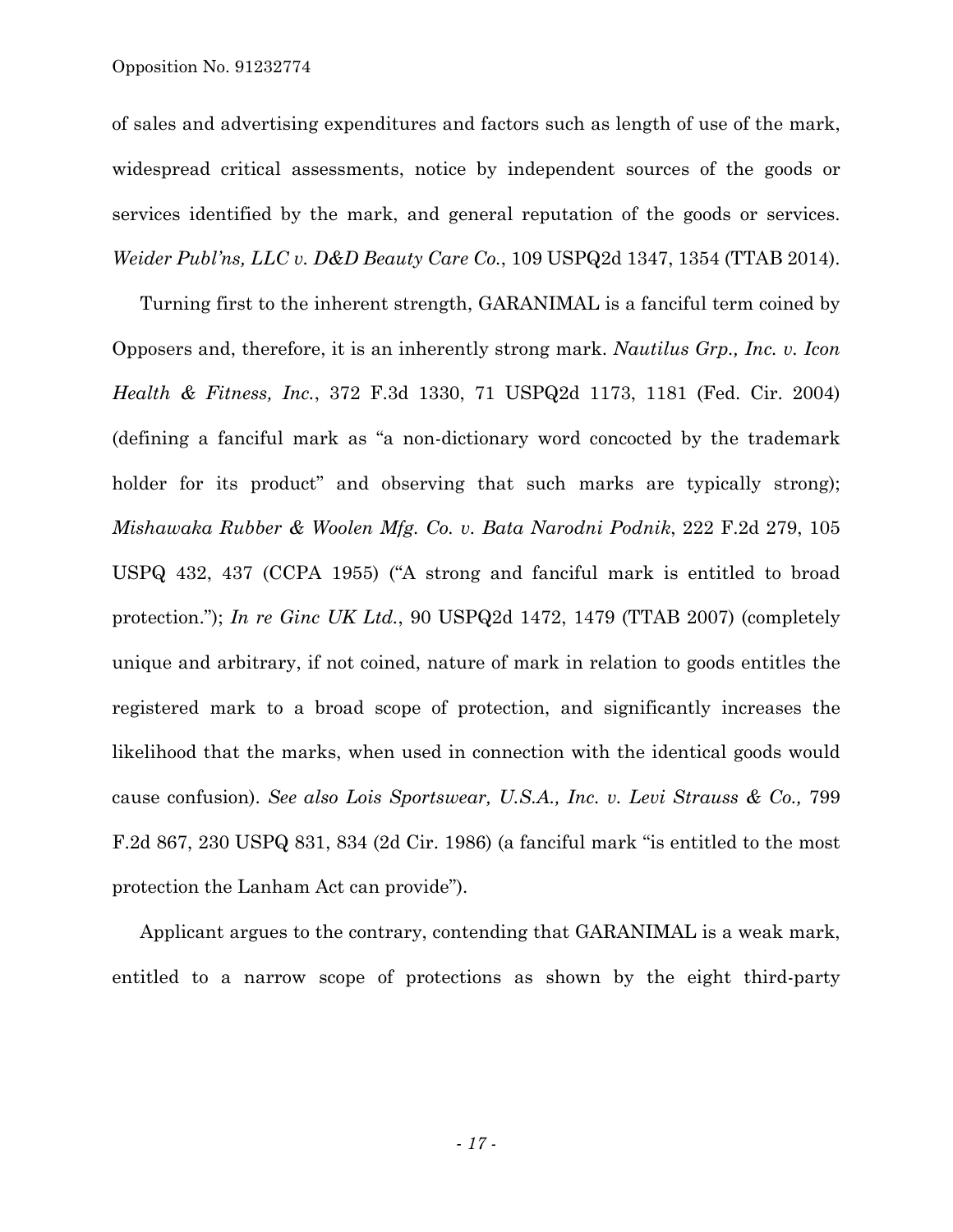of sales and advertising expenditures and factors such as length of use of the mark, widespread critical assessments, notice by independent sources of the goods or services identified by the mark, and general reputation of the goods or services. *Weider Publ'ns, LLC v. D&D Beauty Care Co.*, 109 USPQ2d 1347, 1354 (TTAB 2014).

Turning first to the inherent strength, GARANIMAL is a fanciful term coined by Opposers and, therefore, it is an inherently strong mark. *Nautilus Grp., Inc. v. Icon Health & Fitness, Inc.*, 372 F.3d 1330, 71 USPQ2d 1173, 1181 (Fed. Cir. 2004) (defining a fanciful mark as "a non-dictionary word concocted by the trademark holder for its product" and observing that such marks are typically strong); *Mishawaka Rubber & Woolen Mfg. Co. v. Bata Narodni Podnik*, 222 F.2d 279, 105 USPQ 432, 437 (CCPA 1955) ("A strong and fanciful mark is entitled to broad protection."); *In re Ginc UK Ltd.*, 90 USPQ2d 1472, 1479 (TTAB 2007) (completely unique and arbitrary, if not coined, nature of mark in relation to goods entitles the registered mark to a broad scope of protection, and significantly increases the likelihood that the marks, when used in connection with the identical goods would cause confusion). *See also Lois Sportswear, U.S.A., Inc. v. Levi Strauss & Co.,* 799 F.2d 867, 230 USPQ 831, 834 (2d Cir. 1986) (a fanciful mark "is entitled to the most protection the Lanham Act can provide").

Applicant argues to the contrary, contending that GARANIMAL is a weak mark, entitled to a narrow scope of protections as shown by the eight third-party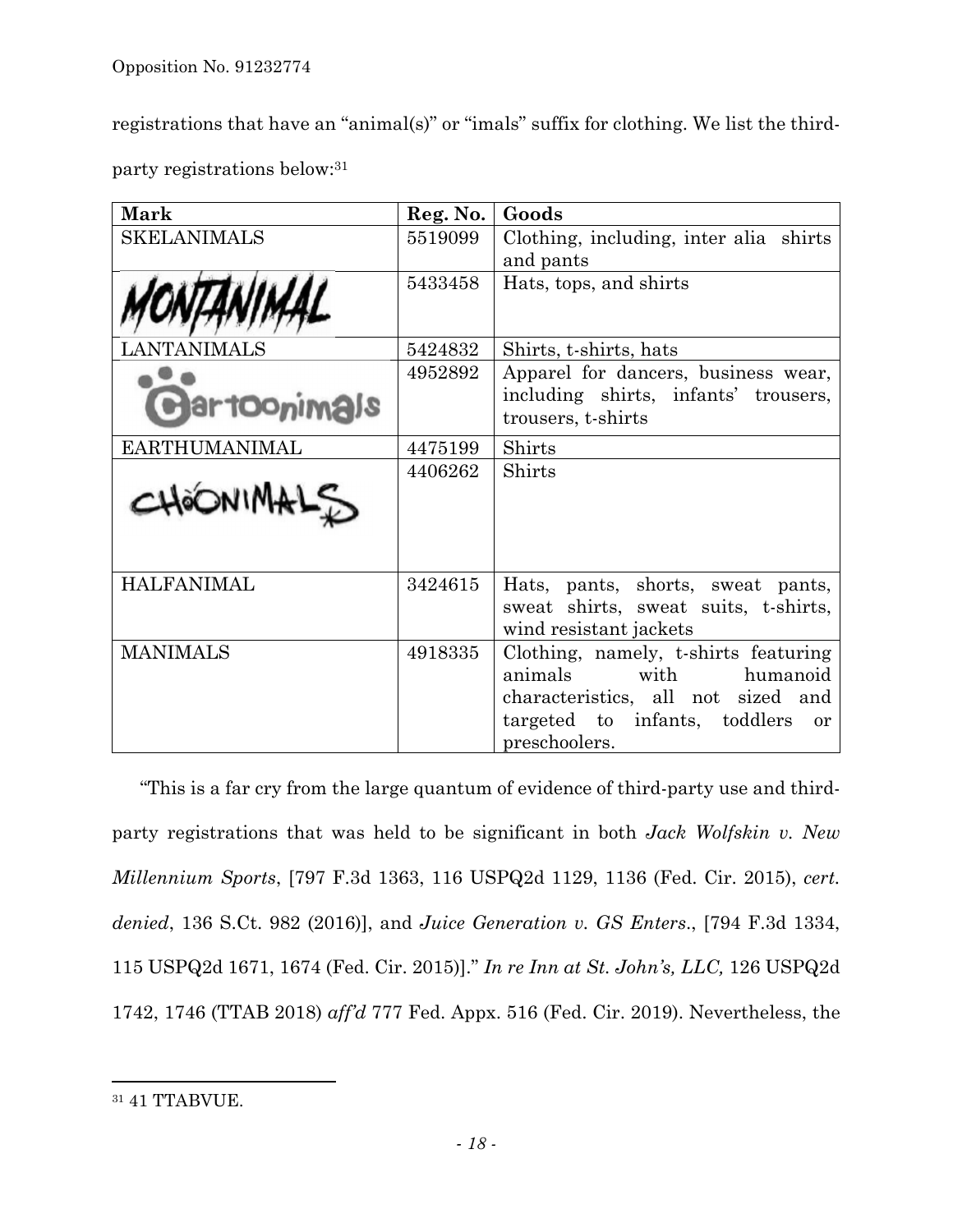registrations that have an "animal(s)" or "imals" suffix for clothing. We list the thirdparty registrations below:31

| Mark                | Reg. No. | Goods                                                      |
|---------------------|----------|------------------------------------------------------------|
| <b>SKELANIMALS</b>  | 5519099  | Clothing, including, inter alia shirts                     |
|                     |          | and pants                                                  |
|                     | 5433458  | Hats, tops, and shirts                                     |
|                     |          |                                                            |
| JTANIMALS           | 5424832  | Shirts, t-shirts, hats                                     |
|                     | 4952892  | Apparel for dancers, business wear,                        |
| <b>BartOonimals</b> |          | including shirts, infants' trousers,<br>trousers, t-shirts |
| EARTHUMANIMAL       | 4475199  | Shirts                                                     |
|                     | 4406262  | Shirts                                                     |
| CHOONIMALS          |          |                                                            |
|                     |          |                                                            |
|                     |          |                                                            |
| <b>HALFANIMAL</b>   | 3424615  | Hats, pants, shorts, sweat pants,                          |
|                     |          | sweat shirts, sweat suits, t-shirts,                       |
|                     |          | wind resistant jackets                                     |
| <b>MANIMALS</b>     | 4918335  | Clothing, namely, t-shirts featuring                       |
|                     |          | animals<br>with humanoid                                   |
|                     |          | characteristics, all not sized and                         |
|                     |          | targeted to infants, toddlers<br>or                        |
|                     |          | preschoolers.                                              |

"This is a far cry from the large quantum of evidence of third-party use and thirdparty registrations that was held to be significant in both *Jack Wolfskin v. New Millennium Sports*, [797 F.3d 1363, 116 USPQ2d 1129, 1136 (Fed. Cir. 2015), *cert. denied*, 136 S.Ct. 982 (2016)], and *Juice Generation v. GS Enters*., [794 F.3d 1334, 115 USPQ2d 1671, 1674 (Fed. Cir. 2015)]." *In re Inn at St. John's, LLC,* 126 USPQ2d 1742, 1746 (TTAB 2018) *aff'd* 777 Fed. Appx. 516 (Fed. Cir. 2019). Nevertheless, the

1

<sup>31 41</sup> TTABVUE.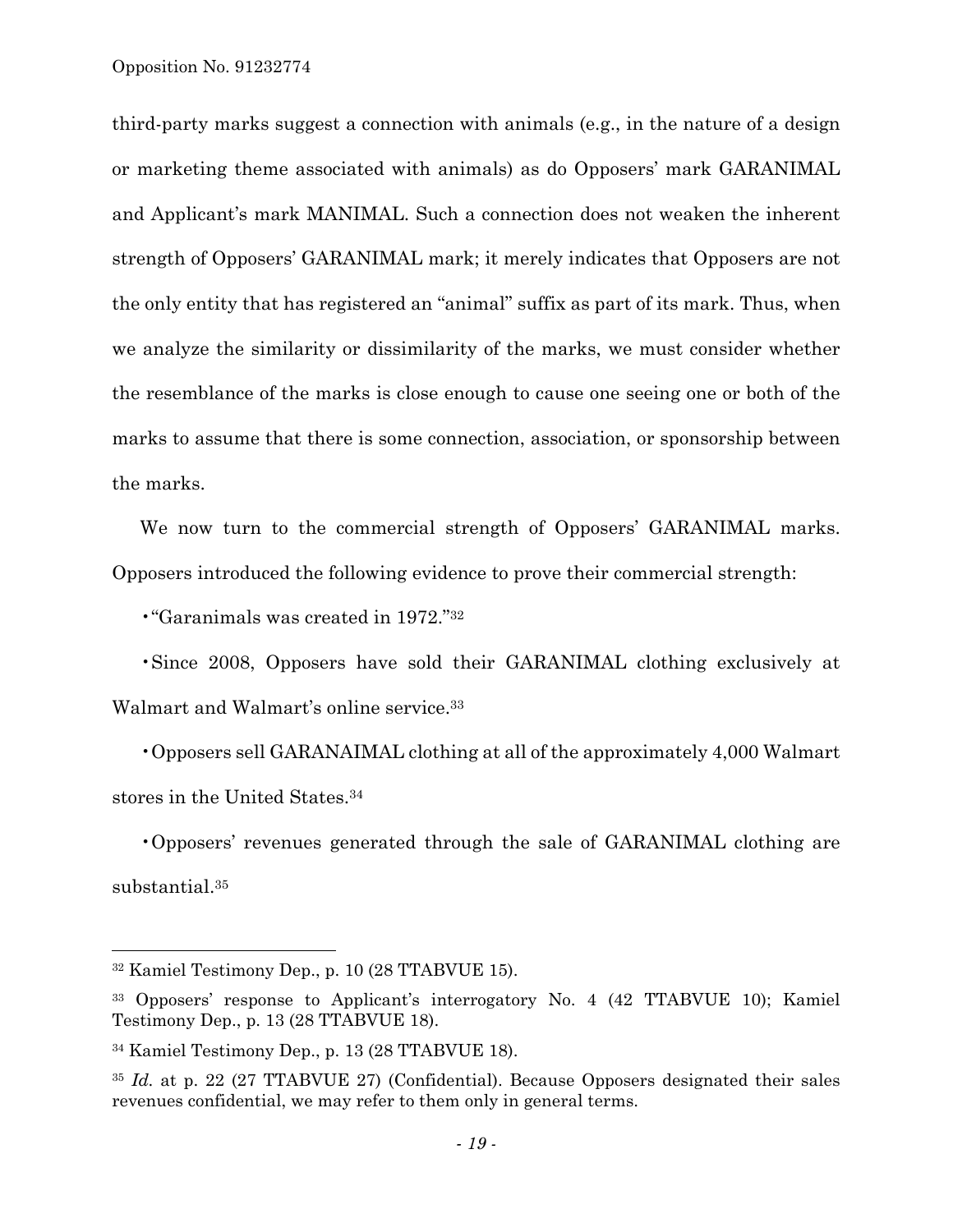third-party marks suggest a connection with animals (e.g., in the nature of a design or marketing theme associated with animals) as do Opposers' mark GARANIMAL and Applicant's mark MANIMAL. Such a connection does not weaken the inherent strength of Opposers' GARANIMAL mark; it merely indicates that Opposers are not the only entity that has registered an "animal" suffix as part of its mark. Thus, when we analyze the similarity or dissimilarity of the marks, we must consider whether the resemblance of the marks is close enough to cause one seeing one or both of the marks to assume that there is some connection, association, or sponsorship between the marks.

We now turn to the commercial strength of Opposers' GARANIMAL marks. Opposers introduced the following evidence to prove their commercial strength:

•"Garanimals was created in 1972."32

•Since 2008, Opposers have sold their GARANIMAL clothing exclusively at Walmart and Walmart's online service.33

•Opposers sell GARANAIMAL clothing at all of the approximately 4,000 Walmart stores in the United States.34

•Opposers' revenues generated through the sale of GARANIMAL clothing are substantial.35

1

<sup>32</sup> Kamiel Testimony Dep., p. 10 (28 TTABVUE 15).

<sup>33</sup> Opposers' response to Applicant's interrogatory No. 4 (42 TTABVUE 10); Kamiel Testimony Dep., p. 13 (28 TTABVUE 18).

<sup>34</sup> Kamiel Testimony Dep., p. 13 (28 TTABVUE 18).

<sup>35</sup> *Id.* at p. 22 (27 TTABVUE 27) (Confidential). Because Opposers designated their sales revenues confidential, we may refer to them only in general terms.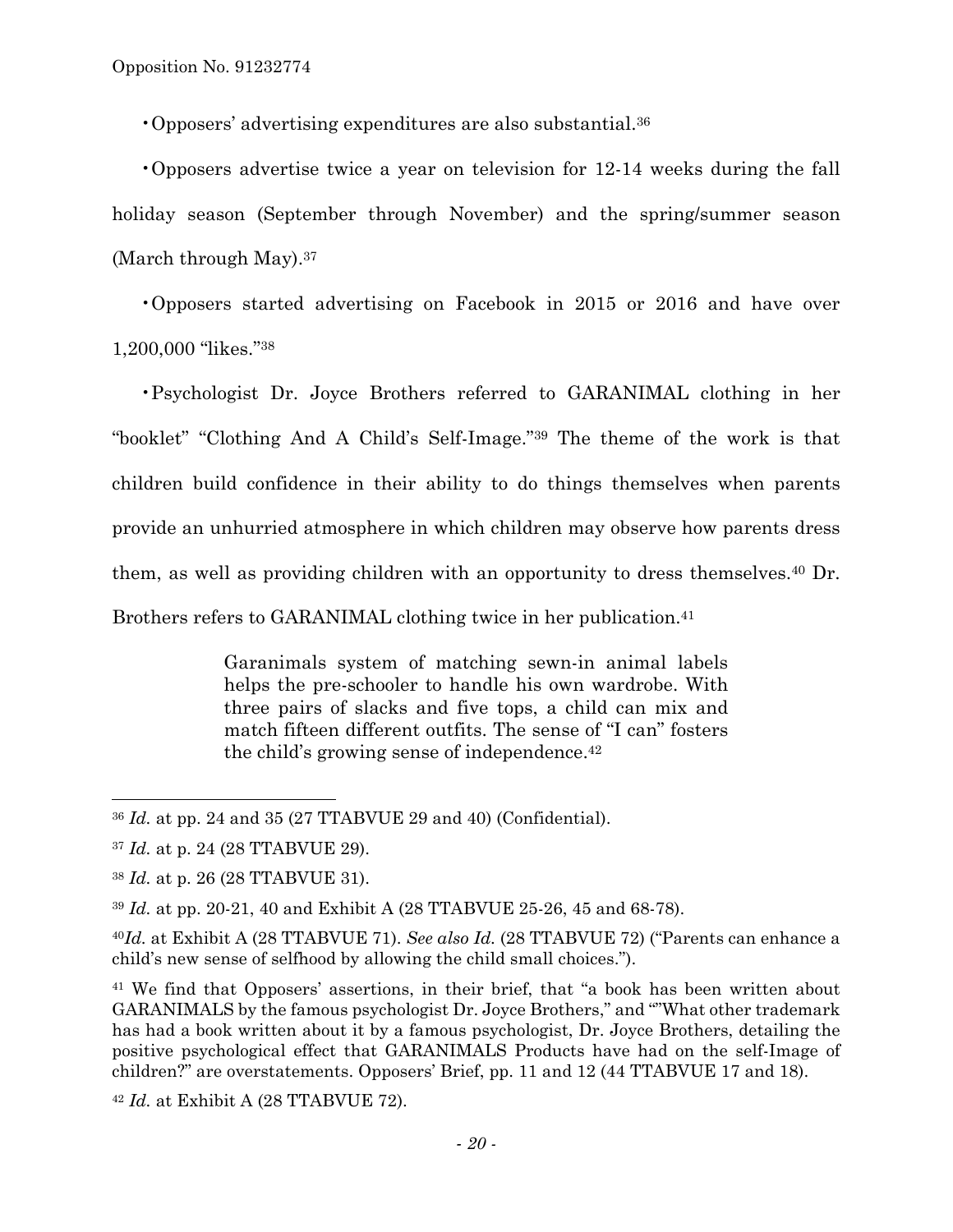•Opposers' advertising expenditures are also substantial.36

•Opposers advertise twice a year on television for 12-14 weeks during the fall holiday season (September through November) and the spring/summer season (March through May).37

•Opposers started advertising on Facebook in 2015 or 2016 and have over 1,200,000 "likes."38

•Psychologist Dr. Joyce Brothers referred to GARANIMAL clothing in her "booklet" "Clothing And A Child's Self-Image."39 The theme of the work is that children build confidence in their ability to do things themselves when parents provide an unhurried atmosphere in which children may observe how parents dress them, as well as providing children with an opportunity to dress themselves.40 Dr. Brothers refers to GARANIMAL clothing twice in her publication.<sup>41</sup>

> Garanimals system of matching sewn-in animal labels helps the pre-schooler to handle his own wardrobe. With three pairs of slacks and five tops, a child can mix and match fifteen different outfits. The sense of "I can" fosters the child's growing sense of independence.42

 $\overline{a}$ 

<sup>36</sup> *Id.* at pp. 24 and 35 (27 TTABVUE 29 and 40) (Confidential).

<sup>37</sup> *Id.* at p. 24 (28 TTABVUE 29).

<sup>38</sup> *Id.* at p. 26 (28 TTABVUE 31).

<sup>39</sup> *Id.* at pp. 20-21, 40 and Exhibit A (28 TTABVUE 25-26, 45 and 68-78).

<sup>40</sup>*Id.* at Exhibit A (28 TTABVUE 71). *See also Id.* (28 TTABVUE 72) ("Parents can enhance a child's new sense of selfhood by allowing the child small choices.").

<sup>41</sup> We find that Opposers' assertions, in their brief, that "a book has been written about GARANIMALS by the famous psychologist Dr. Joyce Brothers," and ""What other trademark has had a book written about it by a famous psychologist, Dr. Joyce Brothers, detailing the positive psychological effect that GARANIMALS Products have had on the self-Image of children?" are overstatements. Opposers' Brief, pp. 11 and 12 (44 TTABVUE 17 and 18).

<sup>42</sup> *Id.* at Exhibit A (28 TTABVUE 72).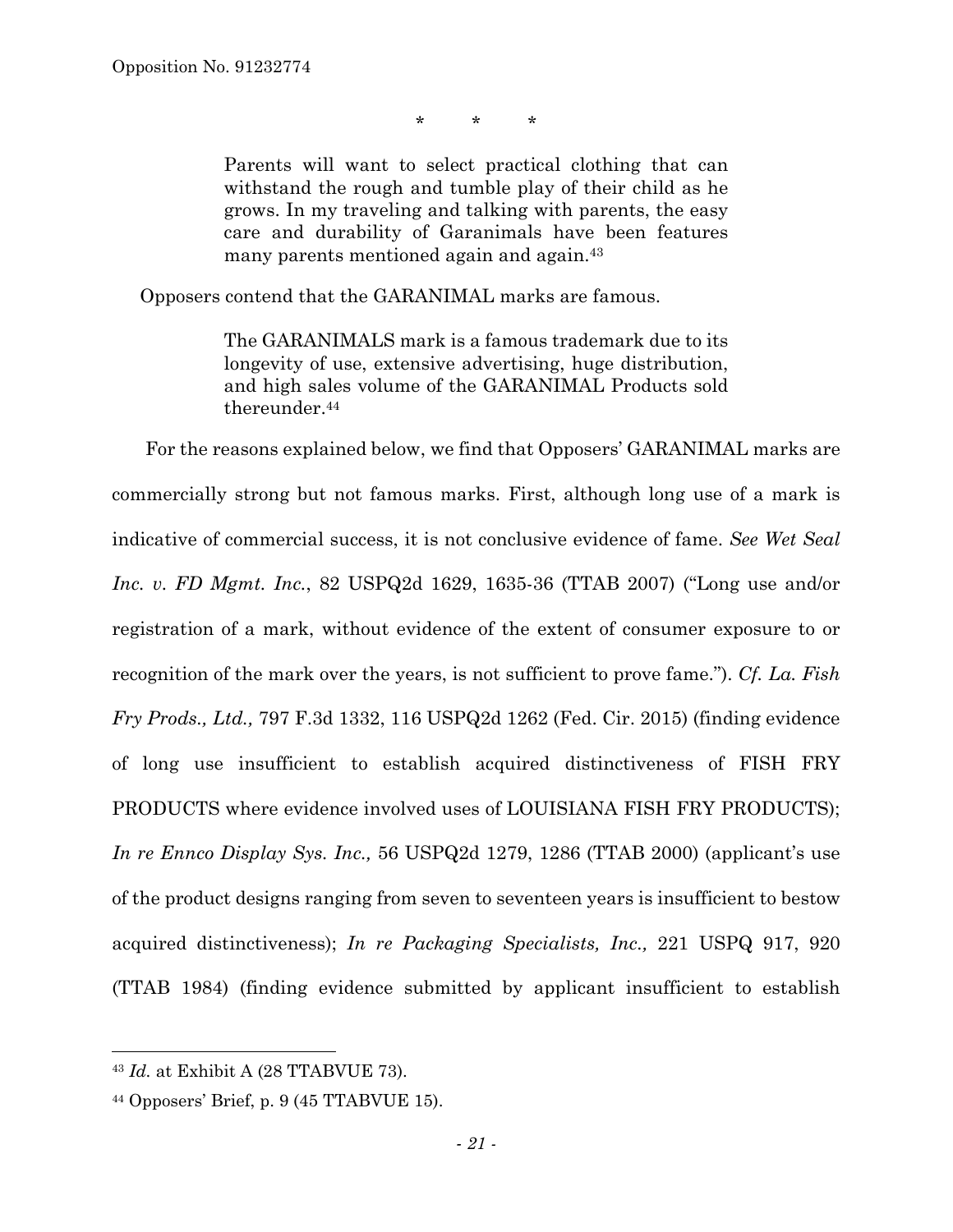\* \* \*

Parents will want to select practical clothing that can withstand the rough and tumble play of their child as he grows. In my traveling and talking with parents, the easy care and durability of Garanimals have been features many parents mentioned again and again.43

Opposers contend that the GARANIMAL marks are famous.

The GARANIMALS mark is a famous trademark due to its longevity of use, extensive advertising, huge distribution, and high sales volume of the GARANIMAL Products sold thereunder.<sup>44</sup>

 For the reasons explained below, we find that Opposers' GARANIMAL marks are commercially strong but not famous marks. First, although long use of a mark is indicative of commercial success, it is not conclusive evidence of fame. *See Wet Seal Inc. v. FD Mgmt. Inc.*, 82 USPQ2d 1629, 1635-36 (TTAB 2007) ("Long use and/or registration of a mark, without evidence of the extent of consumer exposure to or recognition of the mark over the years, is not sufficient to prove fame."). *Cf. La. Fish Fry Prods., Ltd.,* 797 F.3d 1332, 116 USPQ2d 1262 (Fed. Cir. 2015) (finding evidence of long use insufficient to establish acquired distinctiveness of FISH FRY PRODUCTS where evidence involved uses of LOUISIANA FISH FRY PRODUCTS); *In re Ennco Display Sys. Inc.,* 56 USPQ2d 1279, 1286 (TTAB 2000) (applicant's use of the product designs ranging from seven to seventeen years is insufficient to bestow acquired distinctiveness); *In re Packaging Specialists, Inc.,* 221 USPQ 917, 920 (TTAB 1984) (finding evidence submitted by applicant insufficient to establish

1

<sup>43</sup> *Id.* at Exhibit A (28 TTABVUE 73).

<sup>44</sup> Opposers' Brief, p. 9 (45 TTABVUE 15).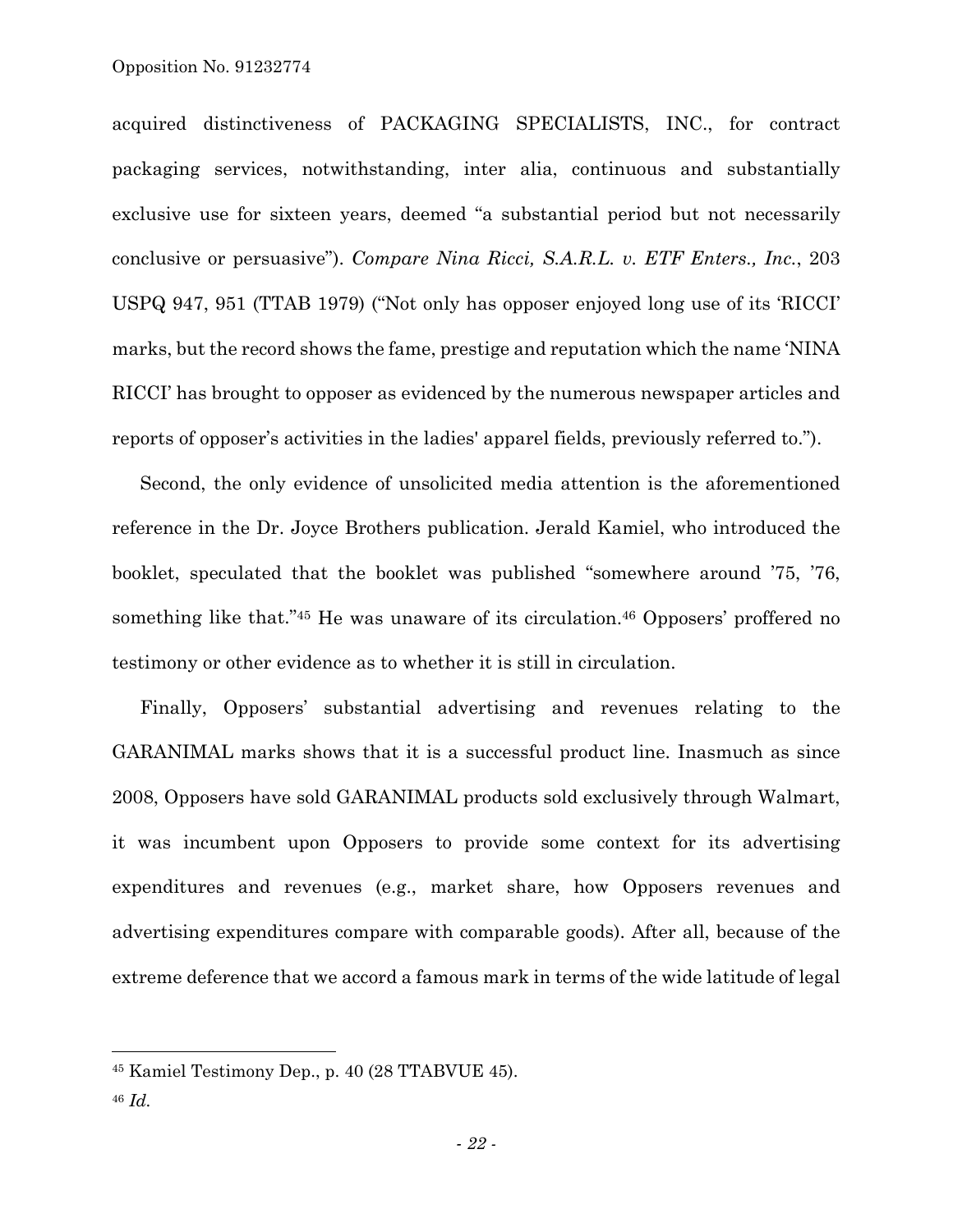acquired distinctiveness of PACKAGING SPECIALISTS, INC., for contract packaging services, notwithstanding, inter alia, continuous and substantially exclusive use for sixteen years, deemed "a substantial period but not necessarily conclusive or persuasive"). *Compare Nina Ricci, S.A.R.L. v. ETF Enters., Inc.*, 203 USPQ 947, 951 (TTAB 1979) ("Not only has opposer enjoyed long use of its 'RICCI' marks, but the record shows the fame, prestige and reputation which the name 'NINA RICCI' has brought to opposer as evidenced by the numerous newspaper articles and reports of opposer's activities in the ladies' apparel fields, previously referred to.").

Second, the only evidence of unsolicited media attention is the aforementioned reference in the Dr. Joyce Brothers publication. Jerald Kamiel, who introduced the booklet, speculated that the booklet was published "somewhere around '75, '76, something like that."45 He was unaware of its circulation.46 Opposers' proffered no testimony or other evidence as to whether it is still in circulation.

Finally, Opposers' substantial advertising and revenues relating to the GARANIMAL marks shows that it is a successful product line. Inasmuch as since 2008, Opposers have sold GARANIMAL products sold exclusively through Walmart, it was incumbent upon Opposers to provide some context for its advertising expenditures and revenues (e.g., market share, how Opposers revenues and advertising expenditures compare with comparable goods). After all, because of the extreme deference that we accord a famous mark in terms of the wide latitude of legal

 $\overline{a}$ 

<sup>45</sup> Kamiel Testimony Dep., p. 40 (28 TTABVUE 45).

<sup>46</sup> *Id.*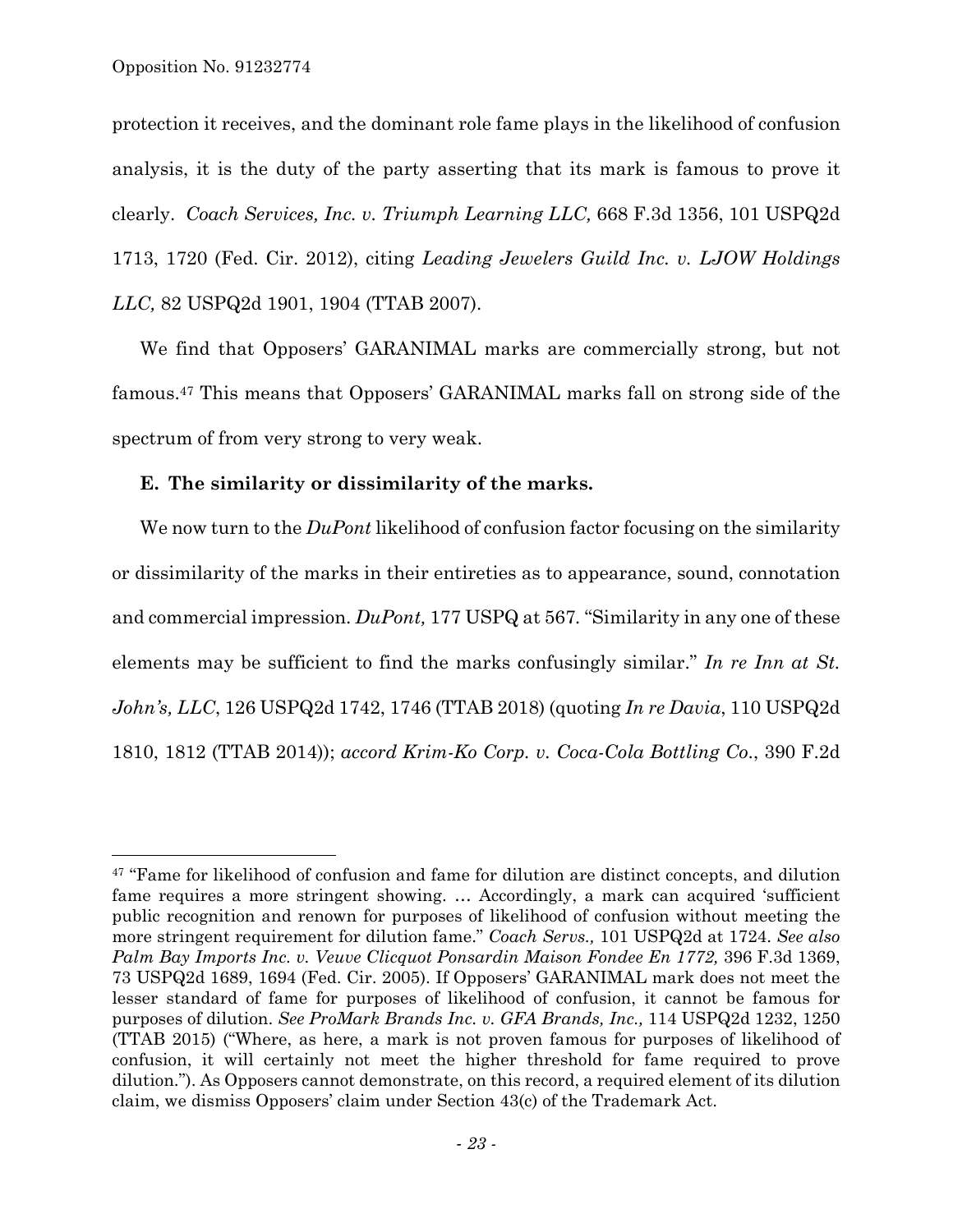$\overline{a}$ 

protection it receives, and the dominant role fame plays in the likelihood of confusion analysis, it is the duty of the party asserting that its mark is famous to prove it clearly. *Coach Services, Inc. v. Triumph Learning LLC,* 668 F.3d 1356, 101 USPQ2d 1713, 1720 (Fed. Cir. 2012), citing *Leading Jewelers Guild Inc. v. LJOW Holdings LLC,* 82 USPQ2d 1901, 1904 (TTAB 2007).

We find that Opposers' GARANIMAL marks are commercially strong, but not famous.47 This means that Opposers' GARANIMAL marks fall on strong side of the spectrum of from very strong to very weak.

### **E. The similarity or dissimilarity of the marks.**

We now turn to the *DuPont* likelihood of confusion factor focusing on the similarity or dissimilarity of the marks in their entireties as to appearance, sound, connotation and commercial impression. *DuPont,* 177 USPQ at 567*.* "Similarity in any one of these elements may be sufficient to find the marks confusingly similar." *In re Inn at St. John's, LLC*, 126 USPQ2d 1742, 1746 (TTAB 2018) (quoting *In re Davia*, 110 USPQ2d 1810, 1812 (TTAB 2014)); *accord Krim-Ko Corp. v. Coca-Cola Bottling Co*., 390 F.2d

<sup>&</sup>lt;sup>47</sup> "Fame for likelihood of confusion and fame for dilution are distinct concepts, and dilution fame requires a more stringent showing. … Accordingly, a mark can acquired 'sufficient public recognition and renown for purposes of likelihood of confusion without meeting the more stringent requirement for dilution fame." *Coach Servs.,* 101 USPQ2d at 1724. *See also*  Palm Bay Imports Inc. v. Veuve Clicquot Ponsardin Maison Fondee En 1772, 396 F.3d 1369, 73 USPQ2d 1689, 1694 (Fed. Cir. 2005). If Opposers' GARANIMAL mark does not meet the lesser standard of fame for purposes of likelihood of confusion, it cannot be famous for purposes of dilution. *See ProMark Brands Inc. v. GFA Brands, Inc.,* 114 USPQ2d 1232, 1250 (TTAB 2015) ("Where, as here, a mark is not proven famous for purposes of likelihood of confusion, it will certainly not meet the higher threshold for fame required to prove dilution."). As Opposers cannot demonstrate, on this record, a required element of its dilution claim, we dismiss Opposers' claim under Section 43(c) of the Trademark Act.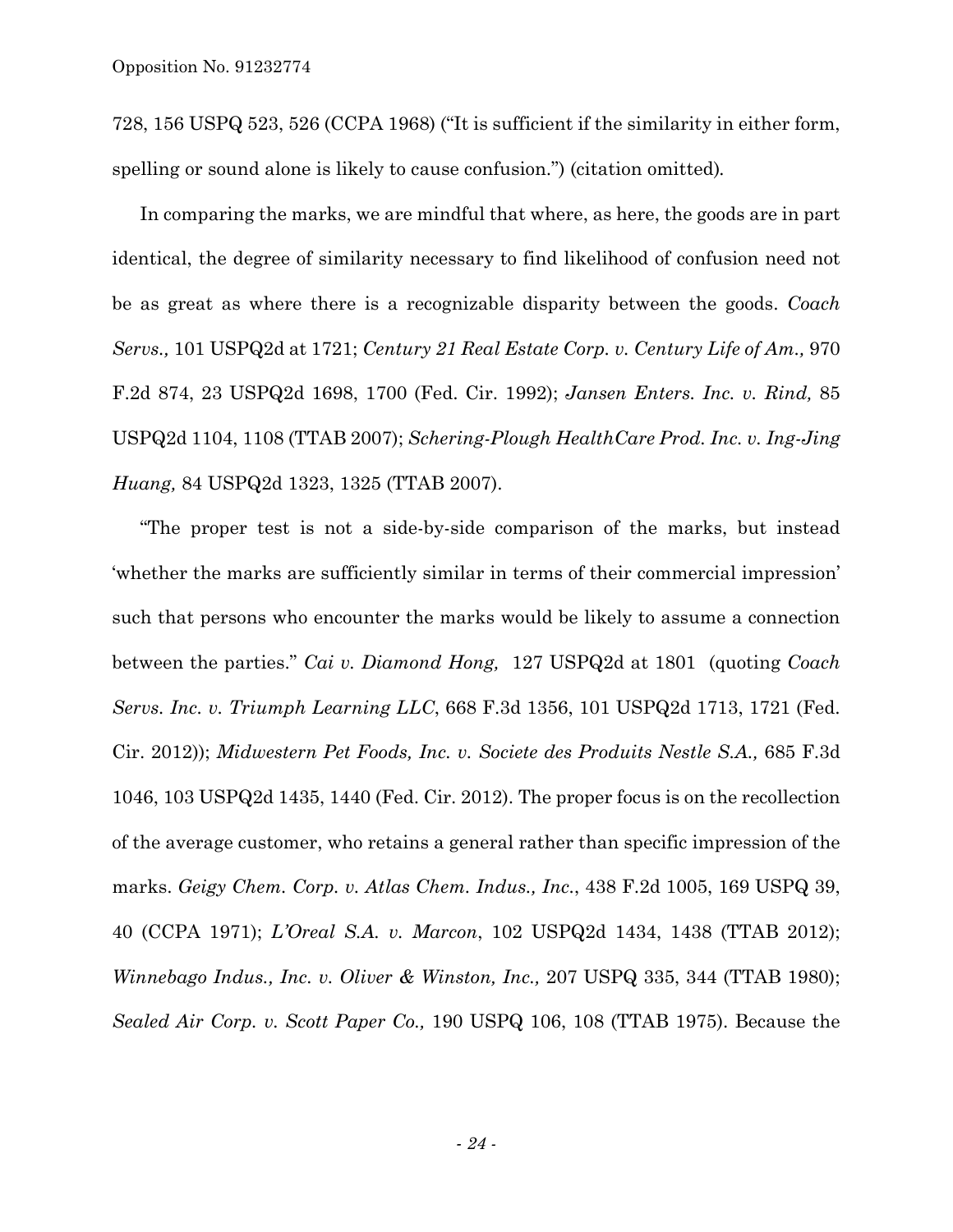728, 156 USPQ 523, 526 (CCPA 1968) ("It is sufficient if the similarity in either form, spelling or sound alone is likely to cause confusion.") (citation omitted)*.* 

In comparing the marks, we are mindful that where, as here, the goods are in part identical, the degree of similarity necessary to find likelihood of confusion need not be as great as where there is a recognizable disparity between the goods. *Coach Servs.,* 101 USPQ2d at 1721; *Century 21 Real Estate Corp. v. Century Life of Am.,* 970 F.2d 874, 23 USPQ2d 1698, 1700 (Fed. Cir. 1992); *Jansen Enters. Inc. v. Rind,* 85 USPQ2d 1104, 1108 (TTAB 2007); *Schering-Plough HealthCare Prod. Inc. v. Ing-Jing Huang,* 84 USPQ2d 1323, 1325 (TTAB 2007).

"The proper test is not a side-by-side comparison of the marks, but instead 'whether the marks are sufficiently similar in terms of their commercial impression' such that persons who encounter the marks would be likely to assume a connection between the parties." *Cai v. Diamond Hong,* 127 USPQ2d at 1801 (quoting *Coach Servs. Inc. v. Triumph Learning LLC*, 668 F.3d 1356, 101 USPQ2d 1713, 1721 (Fed. Cir. 2012)); *Midwestern Pet Foods, Inc. v. Societe des Produits Nestle S.A.,* 685 F.3d 1046, 103 USPQ2d 1435, 1440 (Fed. Cir. 2012). The proper focus is on the recollection of the average customer, who retains a general rather than specific impression of the marks. *Geigy Chem. Corp. v. Atlas Chem. Indus., Inc.*, 438 F.2d 1005, 169 USPQ 39, 40 (CCPA 1971); *L'Oreal S.A. v. Marcon*, 102 USPQ2d 1434, 1438 (TTAB 2012); *Winnebago Indus., Inc. v. Oliver & Winston, Inc.,* 207 USPQ 335, 344 (TTAB 1980); *Sealed Air Corp. v. Scott Paper Co.,* 190 USPQ 106, 108 (TTAB 1975). Because the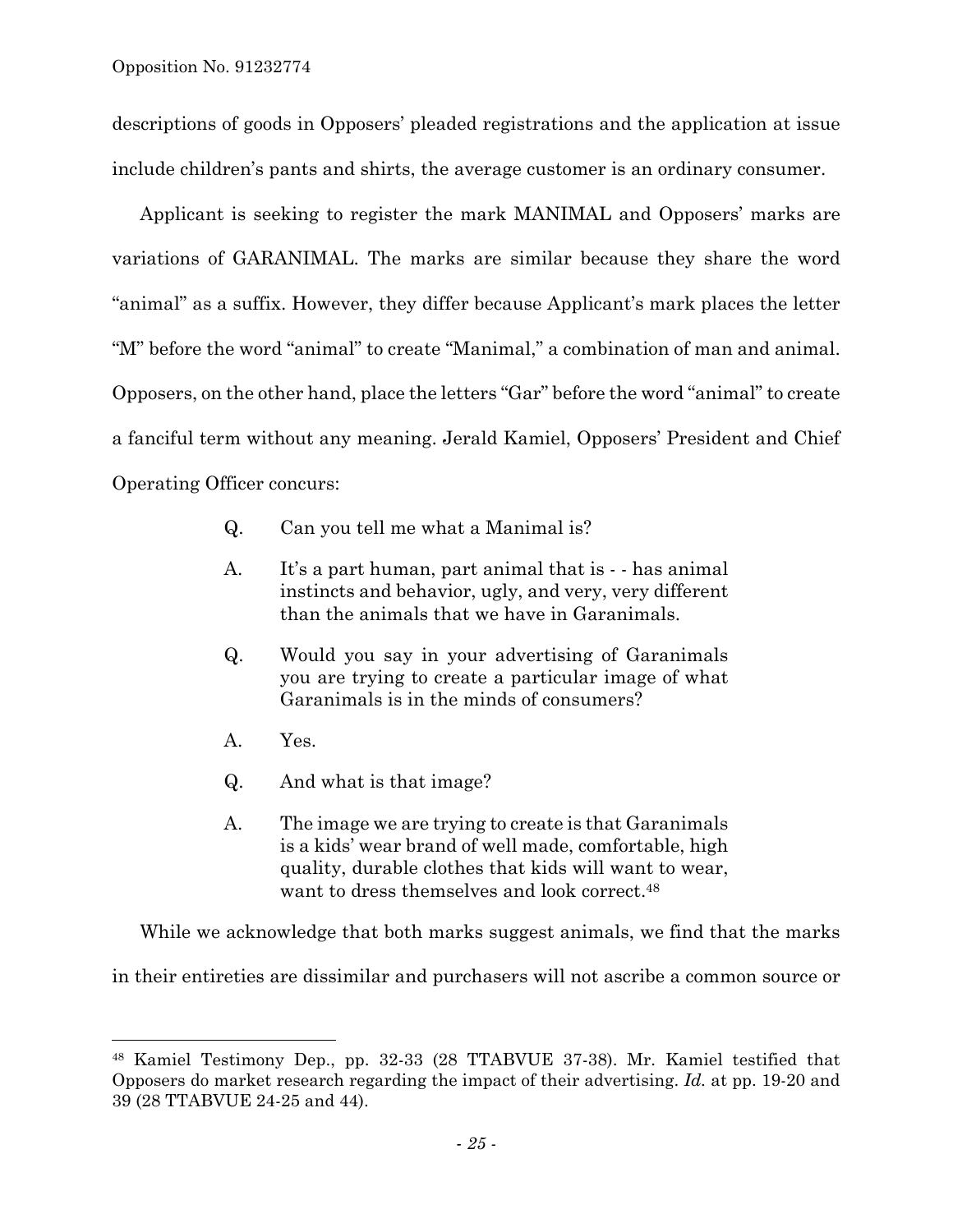descriptions of goods in Opposers' pleaded registrations and the application at issue include children's pants and shirts, the average customer is an ordinary consumer.

Applicant is seeking to register the mark MANIMAL and Opposers' marks are variations of GARANIMAL. The marks are similar because they share the word "animal" as a suffix. However, they differ because Applicant's mark places the letter "M" before the word "animal" to create "Manimal," a combination of man and animal. Opposers, on the other hand, place the letters "Gar" before the word "animal" to create a fanciful term without any meaning. Jerald Kamiel, Opposers' President and Chief Operating Officer concurs:

- Q. Can you tell me what a Manimal is?
- A. It's a part human, part animal that is - has animal instincts and behavior, ugly, and very, very different than the animals that we have in Garanimals.
- Q. Would you say in your advertising of Garanimals you are trying to create a particular image of what Garanimals is in the minds of consumers?
- A. Yes.

l

- Q. And what is that image?
- A. The image we are trying to create is that Garanimals is a kids' wear brand of well made, comfortable, high quality, durable clothes that kids will want to wear, want to dress themselves and look correct.48

While we acknowledge that both marks suggest animals, we find that the marks

in their entireties are dissimilar and purchasers will not ascribe a common source or

<sup>48</sup> Kamiel Testimony Dep., pp. 32-33 (28 TTABVUE 37-38). Mr. Kamiel testified that Opposers do market research regarding the impact of their advertising. *Id.* at pp. 19-20 and 39 (28 TTABVUE 24-25 and 44).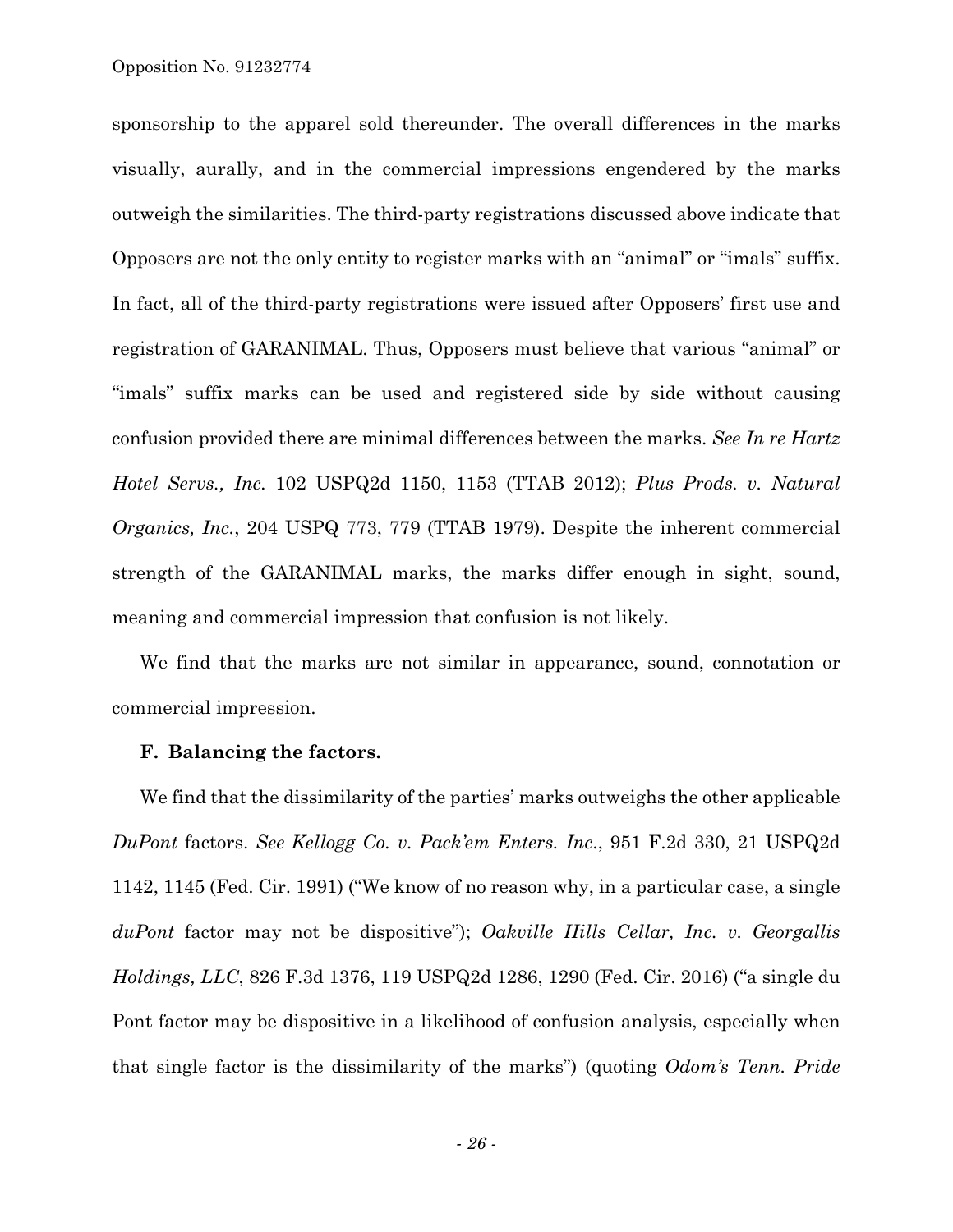sponsorship to the apparel sold thereunder. The overall differences in the marks visually, aurally, and in the commercial impressions engendered by the marks outweigh the similarities. The third-party registrations discussed above indicate that Opposers are not the only entity to register marks with an "animal" or "imals" suffix. In fact, all of the third-party registrations were issued after Opposers' first use and registration of GARANIMAL. Thus, Opposers must believe that various "animal" or "imals" suffix marks can be used and registered side by side without causing confusion provided there are minimal differences between the marks. *See In re Hartz Hotel Servs., Inc.* 102 USPQ2d 1150, 1153 (TTAB 2012); *Plus Prods. v. Natural Organics, Inc.*, 204 USPQ 773, 779 (TTAB 1979). Despite the inherent commercial strength of the GARANIMAL marks, the marks differ enough in sight, sound, meaning and commercial impression that confusion is not likely.

We find that the marks are not similar in appearance, sound, connotation or commercial impression.

### **F. Balancing the factors.**

We find that the dissimilarity of the parties' marks outweighs the other applicable *DuPont* factors. *See Kellogg Co. v. Pack'em Enters. Inc*., 951 F.2d 330, 21 USPQ2d 1142, 1145 (Fed. Cir. 1991) ("We know of no reason why, in a particular case, a single *duPont* factor may not be dispositive"); *Oakville Hills Cellar, Inc. v. Georgallis Holdings, LLC*, 826 F.3d 1376, 119 USPQ2d 1286, 1290 (Fed. Cir. 2016) ("a single du Pont factor may be dispositive in a likelihood of confusion analysis, especially when that single factor is the dissimilarity of the marks") (quoting *Odom's Tenn. Pride*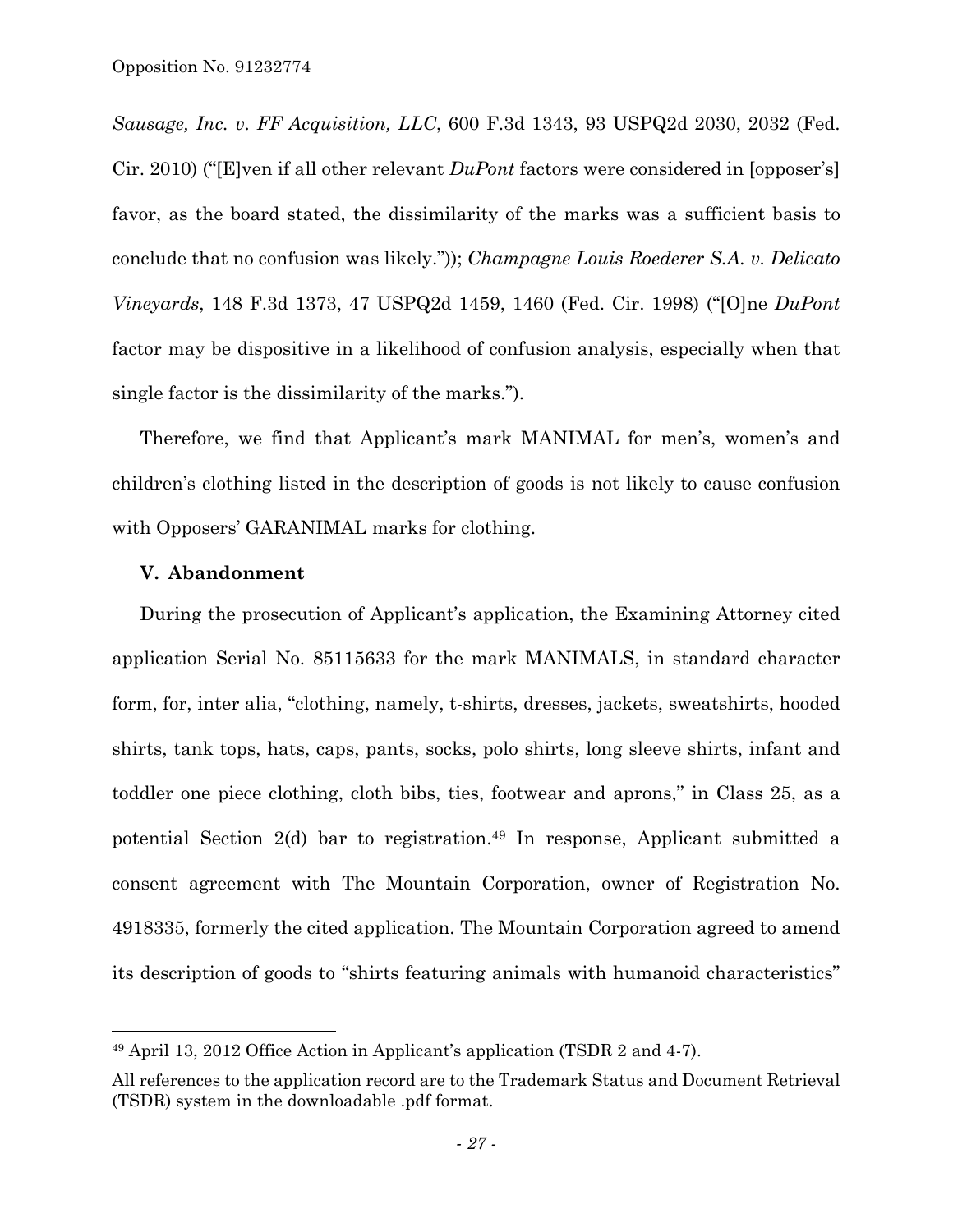*Sausage, Inc. v. FF Acquisition, LLC*, 600 F.3d 1343, 93 USPQ2d 2030, 2032 (Fed. Cir. 2010) ("[E]ven if all other relevant *DuPont* factors were considered in [opposer's] favor, as the board stated, the dissimilarity of the marks was a sufficient basis to conclude that no confusion was likely.")); *Champagne Louis Roederer S.A. v. Delicato Vineyards*, 148 F.3d 1373, 47 USPQ2d 1459, 1460 (Fed. Cir. 1998) ("[O]ne *DuPont* factor may be dispositive in a likelihood of confusion analysis, especially when that single factor is the dissimilarity of the marks.").

Therefore, we find that Applicant's mark MANIMAL for men's, women's and children's clothing listed in the description of goods is not likely to cause confusion with Opposers' GARANIMAL marks for clothing.

#### **V. Abandonment**

l

During the prosecution of Applicant's application, the Examining Attorney cited application Serial No. 85115633 for the mark MANIMALS, in standard character form, for, inter alia, "clothing, namely, t-shirts, dresses, jackets, sweatshirts, hooded shirts, tank tops, hats, caps, pants, socks, polo shirts, long sleeve shirts, infant and toddler one piece clothing, cloth bibs, ties, footwear and aprons," in Class 25, as a potential Section 2(d) bar to registration.49 In response, Applicant submitted a consent agreement with The Mountain Corporation, owner of Registration No. 4918335, formerly the cited application. The Mountain Corporation agreed to amend its description of goods to "shirts featuring animals with humanoid characteristics"

<sup>49</sup> April 13, 2012 Office Action in Applicant's application (TSDR 2 and 4-7).

All references to the application record are to the Trademark Status and Document Retrieval (TSDR) system in the downloadable .pdf format.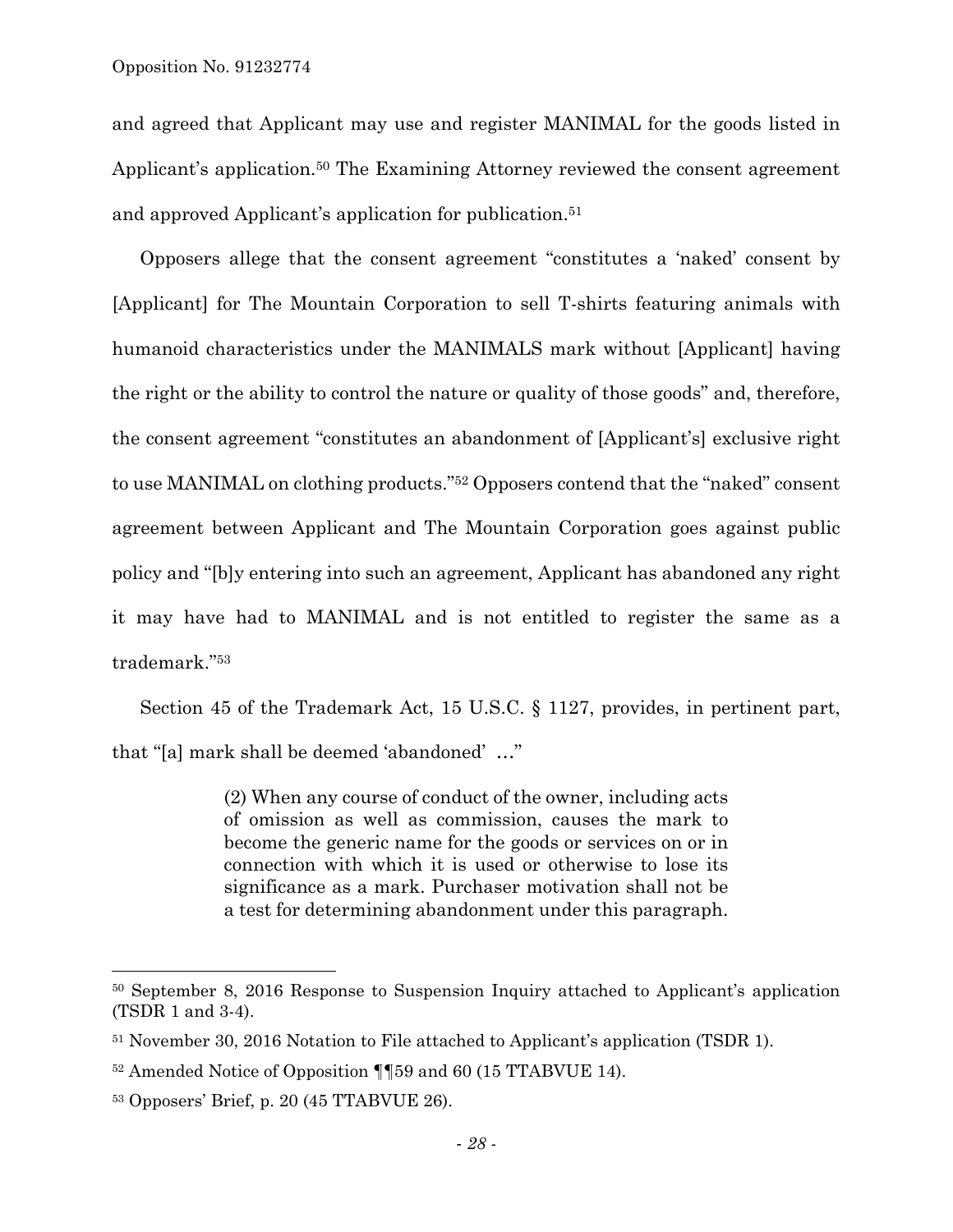and agreed that Applicant may use and register MANIMAL for the goods listed in Applicant's application.<sup>50</sup> The Examining Attorney reviewed the consent agreement and approved Applicant's application for publication.51

Opposers allege that the consent agreement "constitutes a 'naked' consent by [Applicant] for The Mountain Corporation to sell T-shirts featuring animals with humanoid characteristics under the MANIMALS mark without [Applicant] having the right or the ability to control the nature or quality of those goods" and, therefore, the consent agreement "constitutes an abandonment of [Applicant's] exclusive right to use MANIMAL on clothing products."52 Opposers contend that the "naked" consent agreement between Applicant and The Mountain Corporation goes against public policy and "[b]y entering into such an agreement, Applicant has abandoned any right it may have had to MANIMAL and is not entitled to register the same as a trademark."53

Section 45 of the Trademark Act, 15 U.S.C. § 1127, provides, in pertinent part, that "[a] mark shall be deemed 'abandoned' …"

> (2) When any course of conduct of the owner, including acts of omission as well as commission, causes the mark to become the generic name for the goods or services on or in connection with which it is used or otherwise to lose its significance as a mark. Purchaser motivation shall not be a test for determining abandonment under this paragraph.

1

<sup>50</sup> September 8, 2016 Response to Suspension Inquiry attached to Applicant's application (TSDR 1 and 3-4).

<sup>51</sup> November 30, 2016 Notation to File attached to Applicant's application (TSDR 1).

<sup>52</sup> Amended Notice of Opposition ¶¶59 and 60 (15 TTABVUE 14).

<sup>53</sup> Opposers' Brief, p. 20 (45 TTABVUE 26).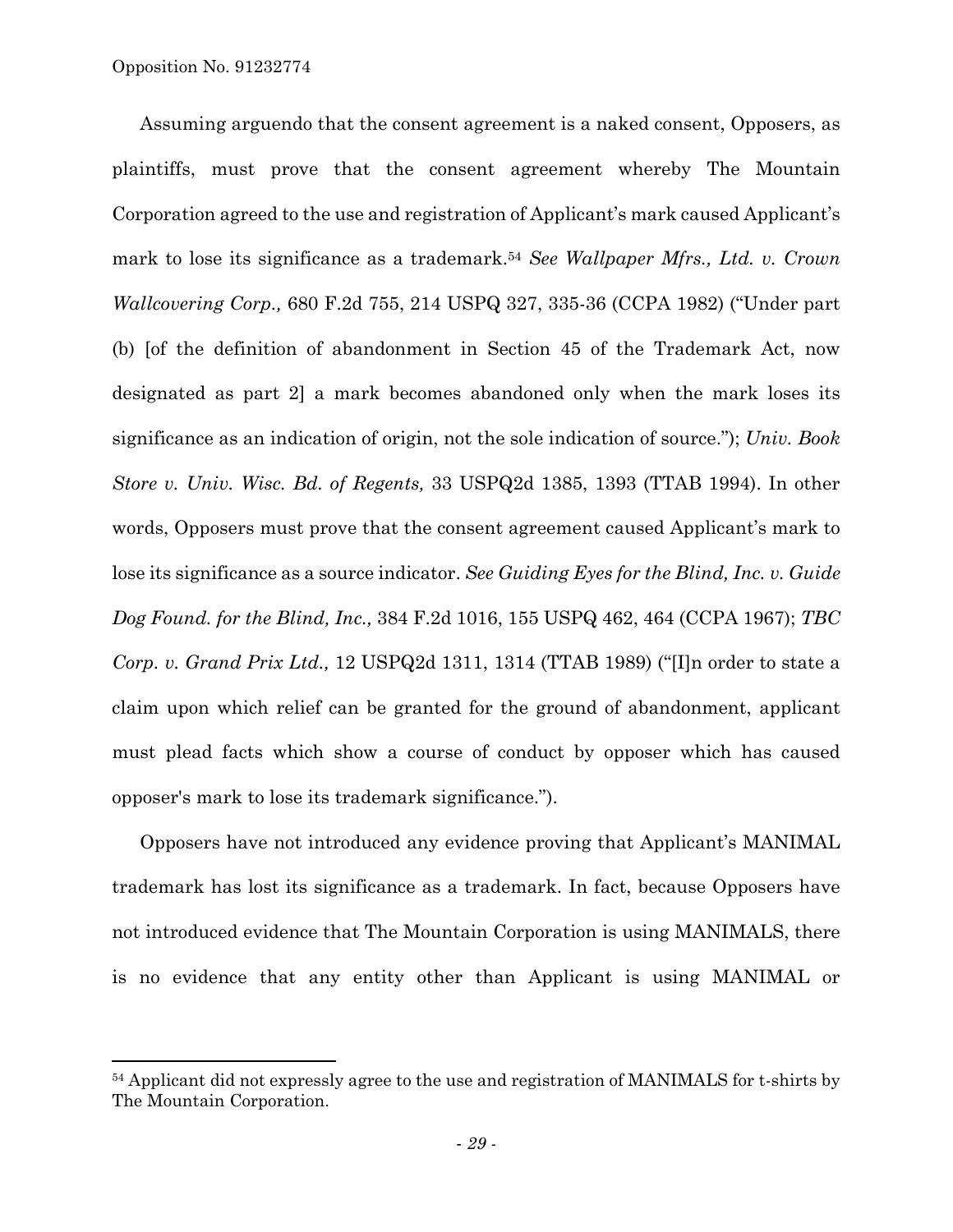$\overline{a}$ 

Assuming arguendo that the consent agreement is a naked consent, Opposers, as plaintiffs, must prove that the consent agreement whereby The Mountain Corporation agreed to the use and registration of Applicant's mark caused Applicant's mark to lose its significance as a trademark.54 *See Wallpaper Mfrs., Ltd. v. Crown Wallcovering Corp.,* 680 F.2d 755, 214 USPQ 327, 335-36 (CCPA 1982) ("Under part (b) [of the definition of abandonment in Section 45 of the Trademark Act, now designated as part 2] a mark becomes abandoned only when the mark loses its significance as an indication of origin, not the sole indication of source."); *Univ. Book Store v. Univ. Wisc. Bd. of Regents,* 33 USPQ2d 1385, 1393 (TTAB 1994). In other words, Opposers must prove that the consent agreement caused Applicant's mark to lose its significance as a source indicator. *See Guiding Eyes for the Blind, Inc. v. Guide Dog Found. for the Blind, Inc.,* 384 F.2d 1016, 155 USPQ 462, 464 (CCPA 1967); *TBC Corp. v. Grand Prix Ltd.,* 12 USPQ2d 1311, 1314 (TTAB 1989) ("[I]n order to state a claim upon which relief can be granted for the ground of abandonment, applicant must plead facts which show a course of conduct by opposer which has caused opposer's mark to lose its trademark significance.").

Opposers have not introduced any evidence proving that Applicant's MANIMAL trademark has lost its significance as a trademark. In fact, because Opposers have not introduced evidence that The Mountain Corporation is using MANIMALS, there is no evidence that any entity other than Applicant is using MANIMAL or

<sup>&</sup>lt;sup>54</sup> Applicant did not expressly agree to the use and registration of MANIMALS for t-shirts by The Mountain Corporation.